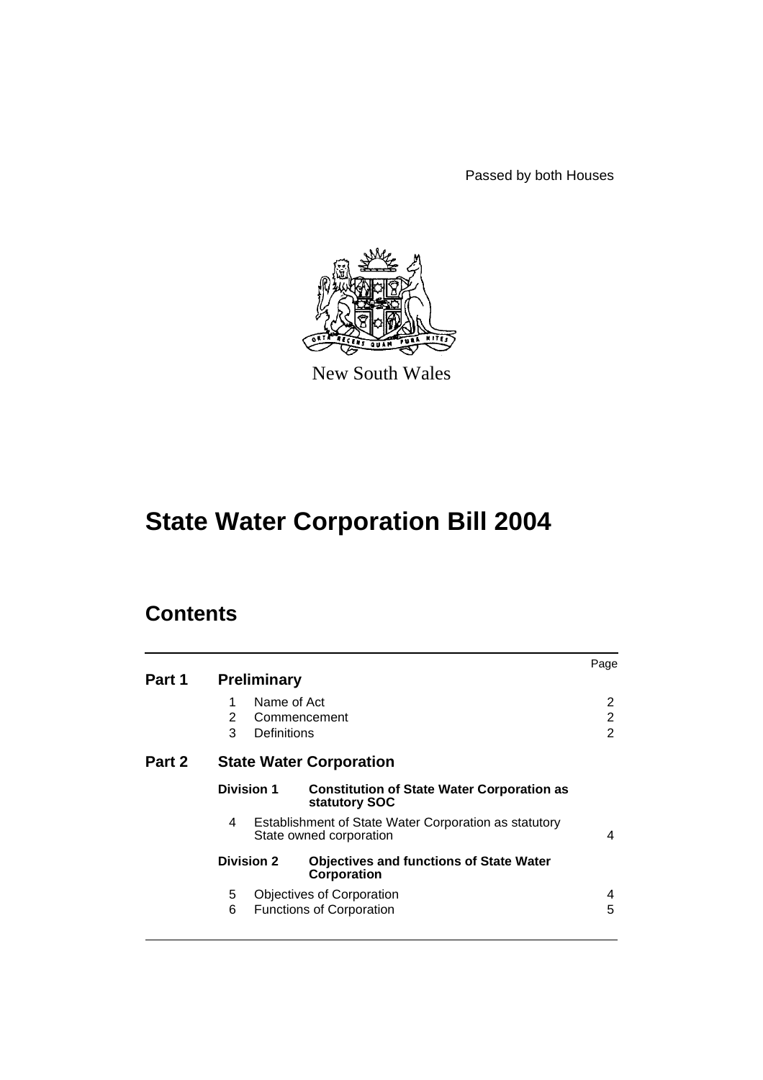Passed by both Houses



New South Wales

# **State Water Corporation Bill 2004**

# **Contents**

| Part 1 |                                | <b>Preliminary</b>         |                                                                                  | Page                     |
|--------|--------------------------------|----------------------------|----------------------------------------------------------------------------------|--------------------------|
|        | 1<br>2<br>3                    | Name of Act<br>Definitions | Commencement                                                                     | 2<br>$\overline{2}$<br>2 |
| Part 2 | <b>State Water Corporation</b> |                            |                                                                                  |                          |
|        | <b>Division 1</b>              |                            | <b>Constitution of State Water Corporation as</b><br>statutory SOC               |                          |
|        | 4                              |                            | Establishment of State Water Corporation as statutory<br>State owned corporation | 4                        |
|        |                                | <b>Division 2</b>          | <b>Objectives and functions of State Water</b><br>Corporation                    |                          |
|        | 5<br>6                         |                            | Objectives of Corporation<br><b>Functions of Corporation</b>                     | 4<br>5                   |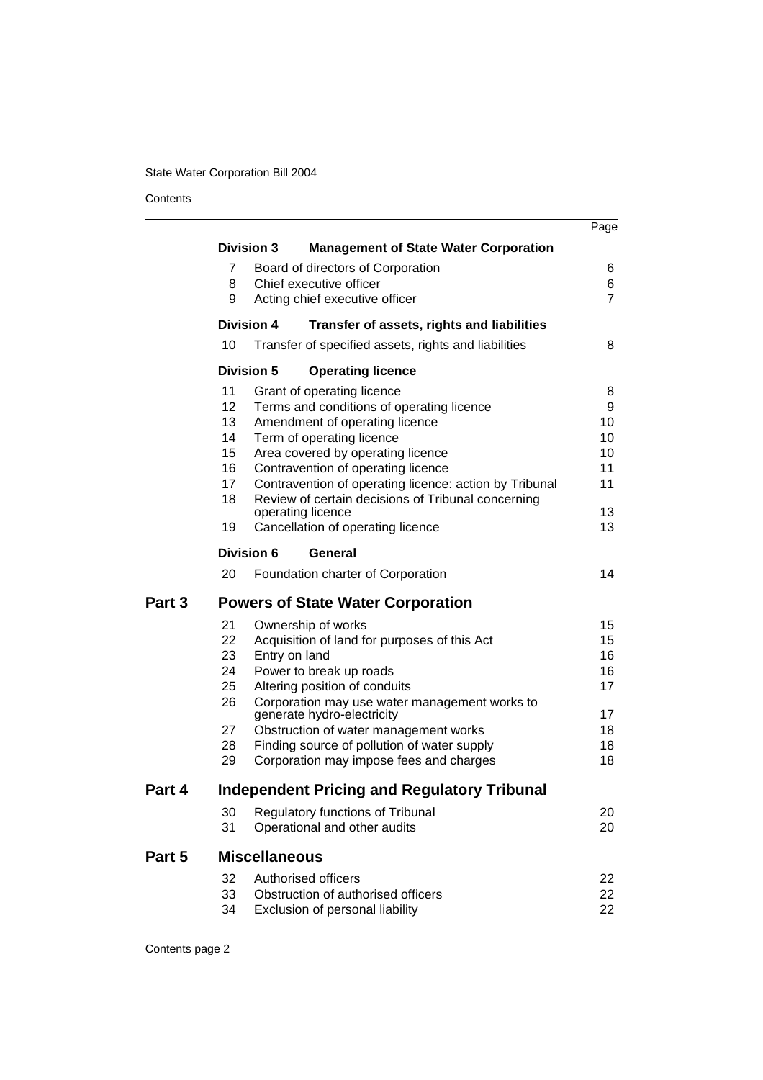**Contents** 

l.

|        |    |                      |                                                                             | Page           |  |
|--------|----|----------------------|-----------------------------------------------------------------------------|----------------|--|
|        |    | <b>Division 3</b>    | <b>Management of State Water Corporation</b>                                |                |  |
|        | 7  |                      | Board of directors of Corporation                                           | 6              |  |
|        | 8  |                      | Chief executive officer                                                     | 6              |  |
|        | 9  |                      | Acting chief executive officer                                              | $\overline{7}$ |  |
|        |    | <b>Division 4</b>    | Transfer of assets, rights and liabilities                                  |                |  |
|        | 10 |                      | Transfer of specified assets, rights and liabilities                        | 8              |  |
|        |    | <b>Division 5</b>    | <b>Operating licence</b>                                                    |                |  |
|        | 11 |                      | Grant of operating licence                                                  | 8              |  |
|        | 12 |                      | Terms and conditions of operating licence                                   | 9              |  |
|        | 13 |                      | Amendment of operating licence                                              | 10             |  |
|        | 14 |                      | Term of operating licence                                                   | 10             |  |
|        | 15 |                      | Area covered by operating licence                                           | 10             |  |
|        | 16 |                      | Contravention of operating licence                                          | 11             |  |
|        | 17 |                      | Contravention of operating licence: action by Tribunal                      | 11             |  |
|        | 18 |                      | Review of certain decisions of Tribunal concerning<br>operating licence     | 13             |  |
|        | 19 |                      | Cancellation of operating licence                                           | 13             |  |
|        |    | <b>Division 6</b>    | General                                                                     |                |  |
|        | 20 |                      | Foundation charter of Corporation                                           | 14             |  |
| Part 3 |    |                      | <b>Powers of State Water Corporation</b>                                    |                |  |
|        | 21 |                      | Ownership of works                                                          | 15             |  |
|        | 22 |                      | Acquisition of land for purposes of this Act                                | 15             |  |
|        | 23 | Entry on land        |                                                                             | 16             |  |
|        | 24 |                      | Power to break up roads                                                     | 16             |  |
|        | 25 |                      | Altering position of conduits                                               | 17             |  |
|        | 26 |                      | Corporation may use water management works to<br>generate hydro-electricity | 17             |  |
|        | 27 |                      | Obstruction of water management works                                       | 18             |  |
|        | 28 |                      | Finding source of pollution of water supply                                 | 18             |  |
|        | 29 |                      | Corporation may impose fees and charges                                     | 18             |  |
| Part 4 |    |                      | Independent Pricing and Regulatory Tribunal                                 |                |  |
|        | 30 |                      | Regulatory functions of Tribunal                                            | 20             |  |
|        | 31 |                      | Operational and other audits                                                | 20             |  |
| Part 5 |    | <b>Miscellaneous</b> |                                                                             |                |  |
|        | 32 |                      | Authorised officers                                                         | 22             |  |
|        | 33 |                      | Obstruction of authorised officers                                          | 22             |  |
|        | 34 |                      | Exclusion of personal liability                                             | 22             |  |
|        |    |                      |                                                                             |                |  |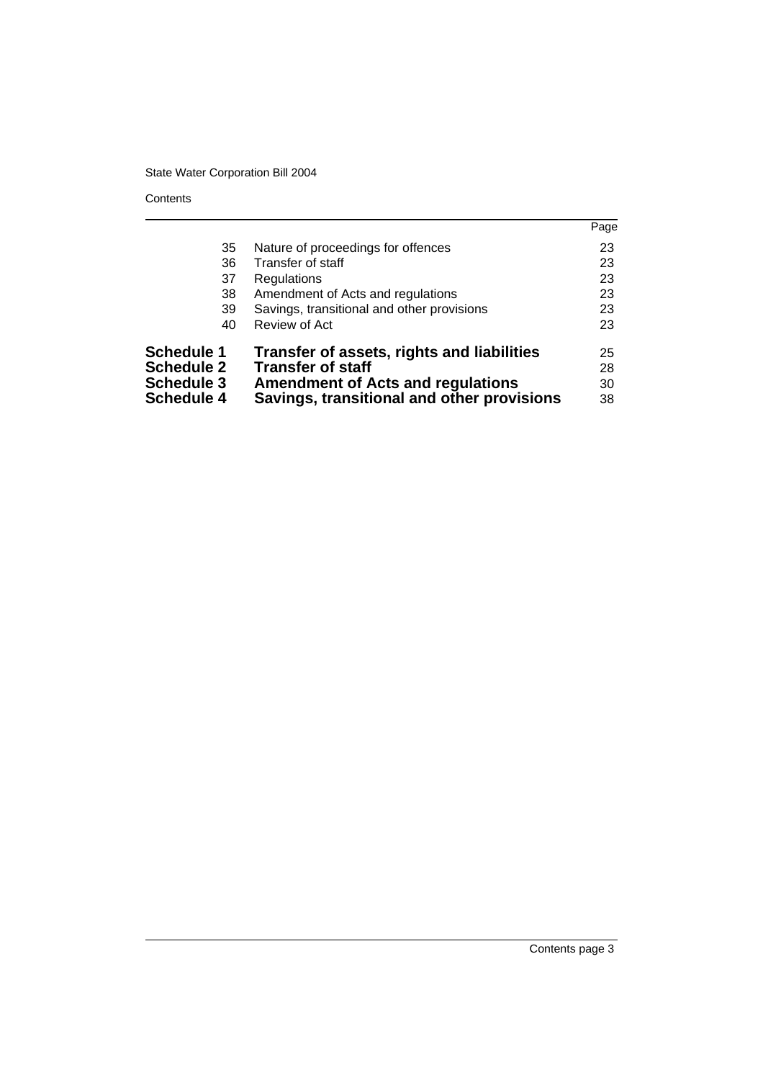**Contents** 

|                   |                                            | Page |
|-------------------|--------------------------------------------|------|
| 35                | Nature of proceedings for offences         | 23   |
| 36                | Transfer of staff                          | 23   |
| 37                | <b>Regulations</b>                         | 23   |
| 38                | Amendment of Acts and regulations          | 23   |
| 39                | Savings, transitional and other provisions | 23   |
| 40                | Review of Act                              | 23   |
| <b>Schedule 1</b> | Transfer of assets, rights and liabilities | 25   |
| <b>Schedule 2</b> | <b>Transfer of staff</b>                   | 28   |
| <b>Schedule 3</b> | <b>Amendment of Acts and regulations</b>   | 30   |
| <b>Schedule 4</b> | Savings, transitional and other provisions | 38   |
|                   |                                            |      |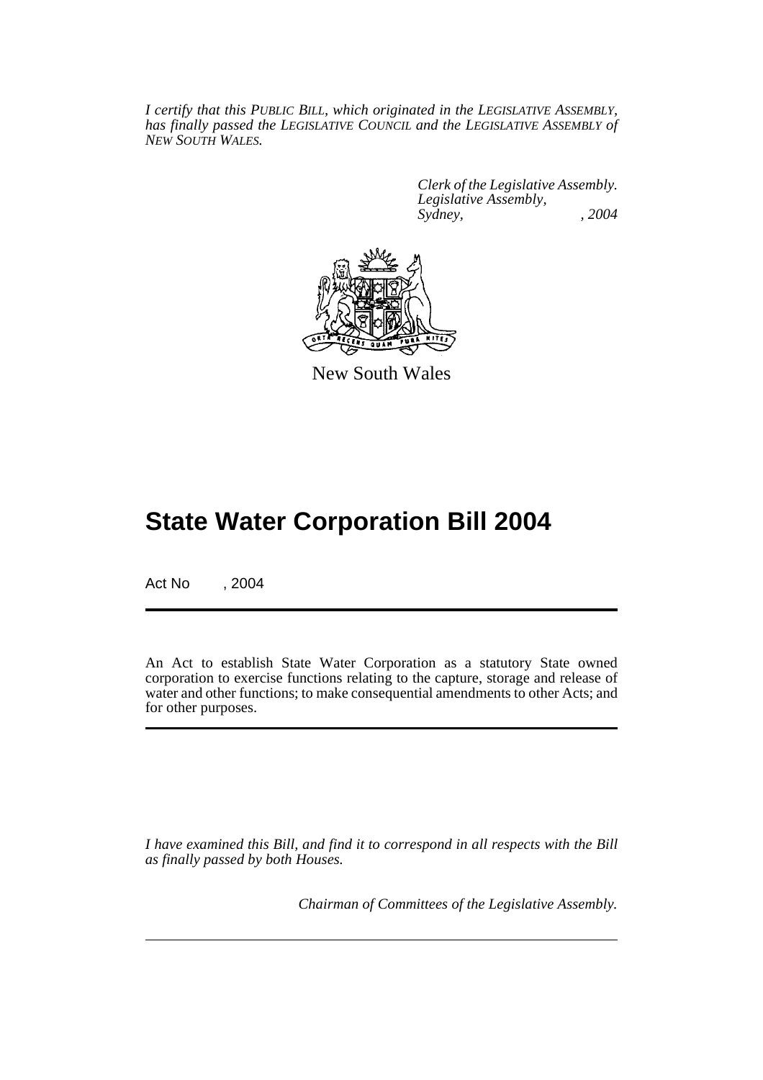*I certify that this PUBLIC BILL, which originated in the LEGISLATIVE ASSEMBLY, has finally passed the LEGISLATIVE COUNCIL and the LEGISLATIVE ASSEMBLY of NEW SOUTH WALES.*

> *Clerk of the Legislative Assembly. Legislative Assembly, Sydney, , 2004*



New South Wales

# **State Water Corporation Bill 2004**

Act No , 2004

An Act to establish State Water Corporation as a statutory State owned corporation to exercise functions relating to the capture, storage and release of water and other functions; to make consequential amendments to other Acts; and for other purposes.

*I have examined this Bill, and find it to correspond in all respects with the Bill as finally passed by both Houses.*

*Chairman of Committees of the Legislative Assembly.*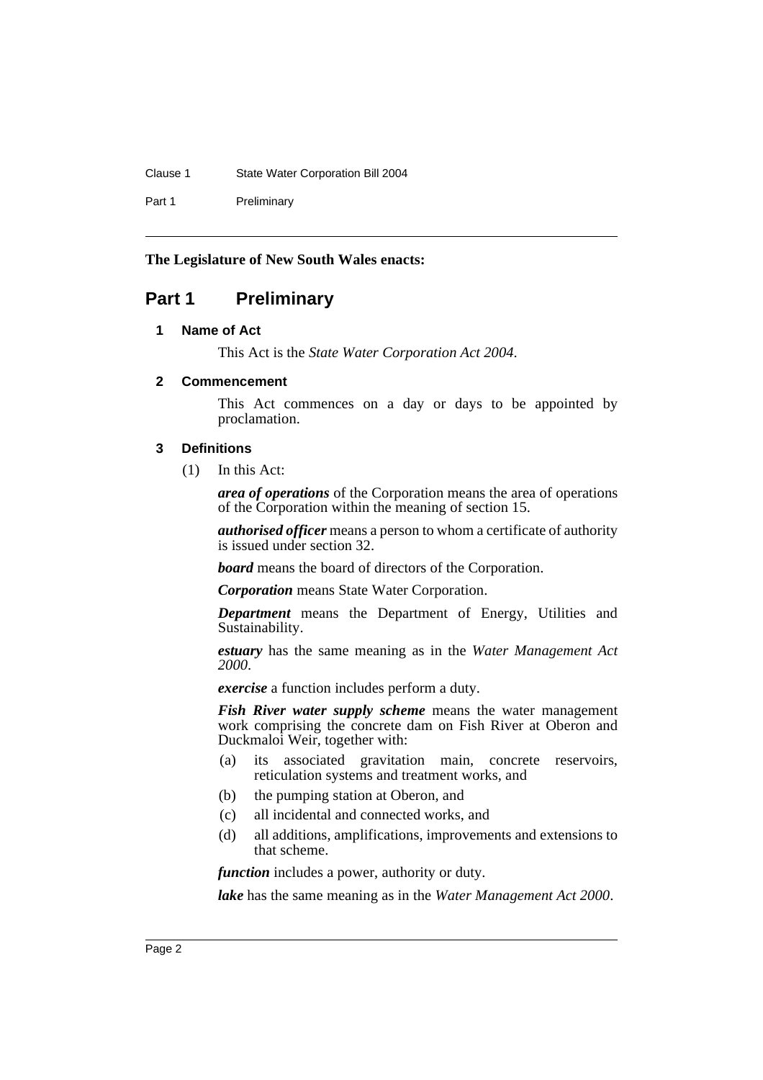## Clause 1 State Water Corporation Bill 2004

Part 1 Preliminary

# **The Legislature of New South Wales enacts:**

# **Part 1 Preliminary**

# **1 Name of Act**

This Act is the *State Water Corporation Act 2004*.

# **2 Commencement**

This Act commences on a day or days to be appointed by proclamation.

# **3 Definitions**

(1) In this Act:

*area of operations* of the Corporation means the area of operations of the Corporation within the meaning of section 15.

*authorised officer* means a person to whom a certificate of authority is issued under section 32.

*board* means the board of directors of the Corporation.

*Corporation* means State Water Corporation.

*Department* means the Department of Energy, Utilities and Sustainability.

*estuary* has the same meaning as in the *Water Management Act 2000*.

*exercise* a function includes perform a duty.

*Fish River water supply scheme* means the water management work comprising the concrete dam on Fish River at Oberon and Duckmaloi Weir, together with:

- (a) its associated gravitation main, concrete reservoirs, reticulation systems and treatment works, and
- (b) the pumping station at Oberon, and
- (c) all incidental and connected works, and
- (d) all additions, amplifications, improvements and extensions to that scheme.

*function* includes a power, authority or duty.

*lake* has the same meaning as in the *Water Management Act 2000*.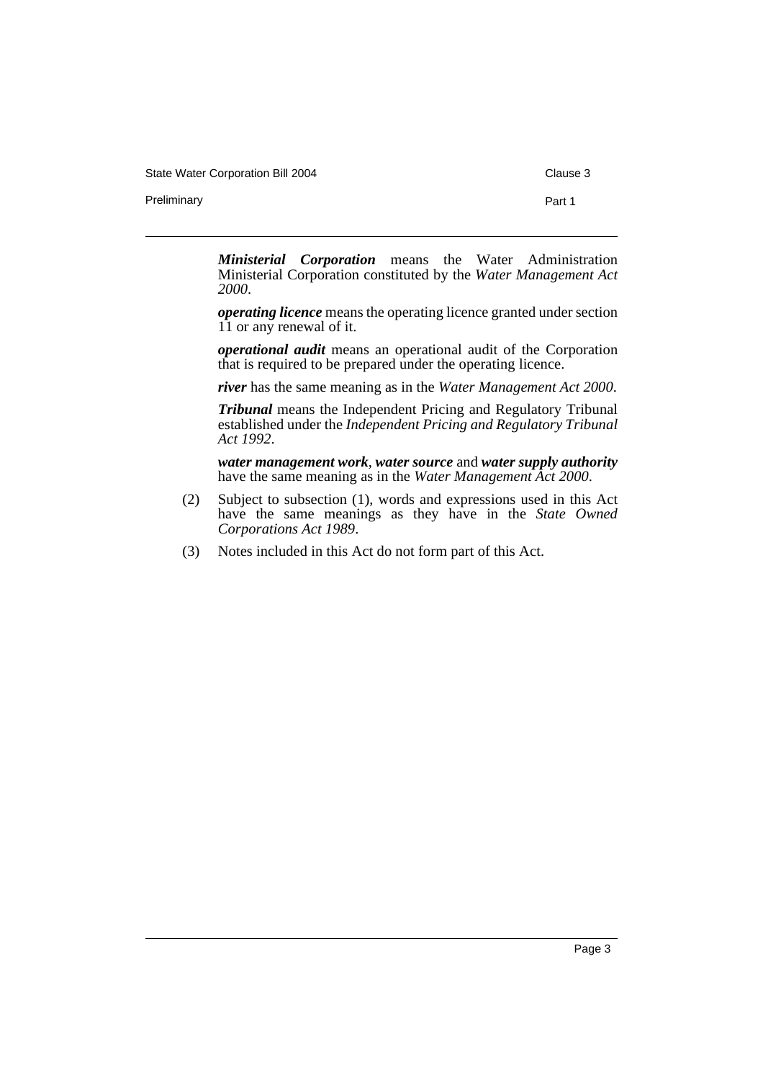State Water Corporation Bill 2004 Clause 3

Preliminary **Part 1** 

*Ministerial Corporation* means the Water Administration Ministerial Corporation constituted by the *Water Management Act 2000*.

*operating licence* means the operating licence granted under section 11 or any renewal of it.

*operational audit* means an operational audit of the Corporation that is required to be prepared under the operating licence.

*river* has the same meaning as in the *Water Management Act 2000*.

*Tribunal* means the Independent Pricing and Regulatory Tribunal established under the *Independent Pricing and Regulatory Tribunal Act 1992*.

*water management work*, *water source* and *water supply authority* have the same meaning as in the *Water Management Act 2000*.

- (2) Subject to subsection (1), words and expressions used in this Act have the same meanings as they have in the *State Owned Corporations Act 1989*.
- (3) Notes included in this Act do not form part of this Act.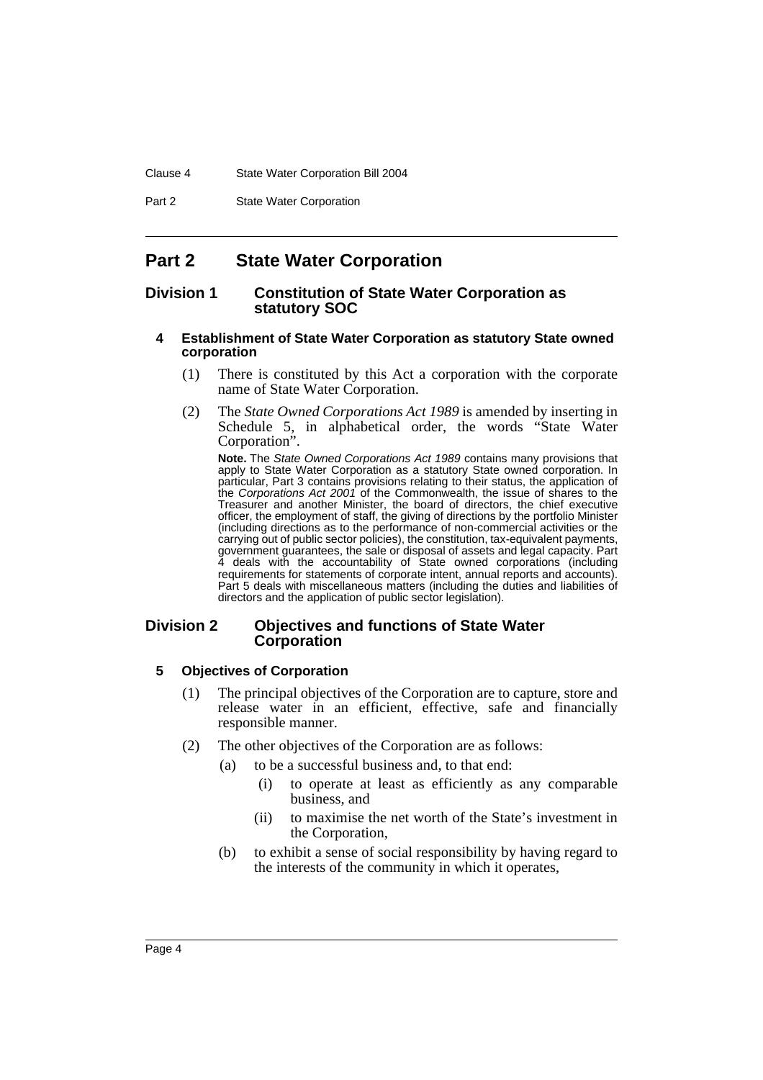#### Clause 4 State Water Corporation Bill 2004

Part 2 **State Water Corporation** 

# **Part 2 State Water Corporation**

# **Division 1 Constitution of State Water Corporation as statutory SOC**

#### **4 Establishment of State Water Corporation as statutory State owned corporation**

- (1) There is constituted by this Act a corporation with the corporate name of State Water Corporation.
- (2) The *State Owned Corporations Act 1989* is amended by inserting in Schedule 5, in alphabetical order, the words "State Water Corporation".

**Note.** The *State Owned Corporations Act 1989* contains many provisions that apply to State Water Corporation as a statutory State owned corporation. In particular, Part 3 contains provisions relating to their status, the application of the *Corporations Act 2001* of the Commonwealth, the issue of shares to the Treasurer and another Minister, the board of directors, the chief executive officer, the employment of staff, the giving of directions by the portfolio Minister (including directions as to the performance of non-commercial activities or the carrying out of public sector policies), the constitution, tax-equivalent payments, government guarantees, the sale or disposal of assets and legal capacity. Part 4 deals with the accountability of State owned corporations (including requirements for statements of corporate intent, annual reports and accounts). Part 5 deals with miscellaneous matters (including the duties and liabilities of directors and the application of public sector legislation).

# **Division 2 Objectives and functions of State Water Corporation**

# **5 Objectives of Corporation**

- (1) The principal objectives of the Corporation are to capture, store and release water in an efficient, effective, safe and financially responsible manner.
- (2) The other objectives of the Corporation are as follows:
	- (a) to be a successful business and, to that end:
		- (i) to operate at least as efficiently as any comparable business, and
		- (ii) to maximise the net worth of the State's investment in the Corporation,
	- (b) to exhibit a sense of social responsibility by having regard to the interests of the community in which it operates,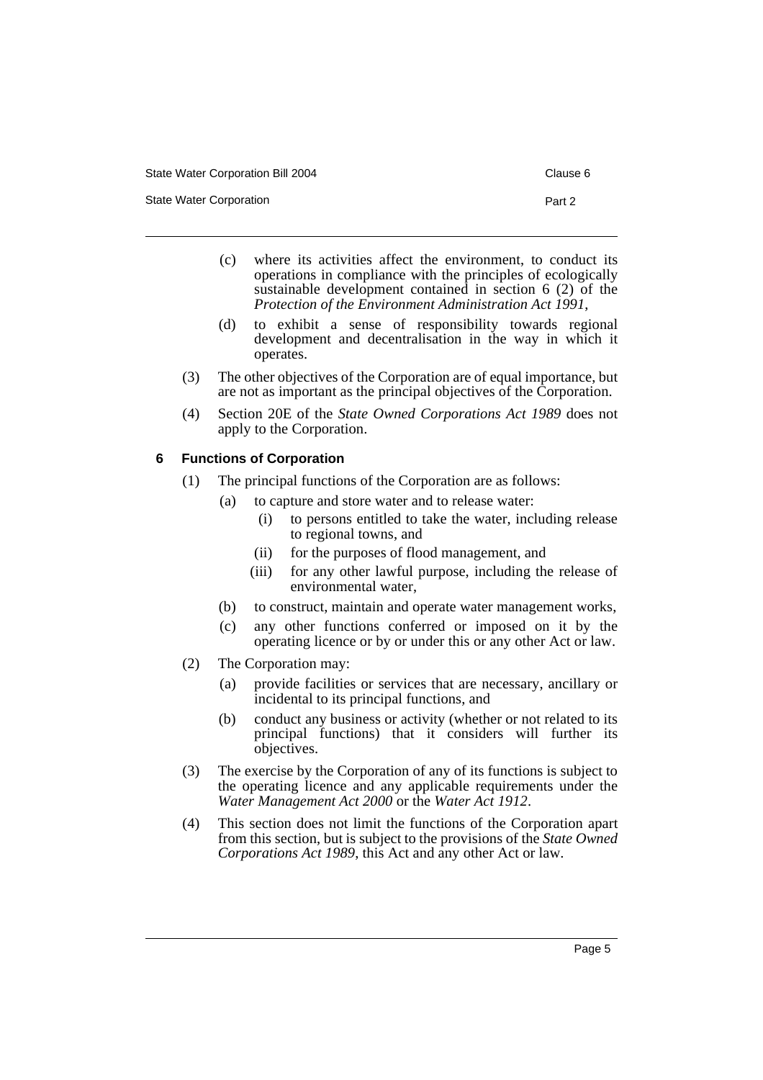State Water Corporation **Part 2** 

- 
- (c) where its activities affect the environment, to conduct its operations in compliance with the principles of ecologically sustainable development contained in section 6 (2) of the *Protection of the Environment Administration Act 1991*,
- (d) to exhibit a sense of responsibility towards regional development and decentralisation in the way in which it operates.
- (3) The other objectives of the Corporation are of equal importance, but are not as important as the principal objectives of the Corporation.
- (4) Section 20E of the *State Owned Corporations Act 1989* does not apply to the Corporation.

# **6 Functions of Corporation**

- (1) The principal functions of the Corporation are as follows:
	- (a) to capture and store water and to release water:
		- (i) to persons entitled to take the water, including release to regional towns, and
		- (ii) for the purposes of flood management, and
		- (iii) for any other lawful purpose, including the release of environmental water,
	- (b) to construct, maintain and operate water management works,
	- (c) any other functions conferred or imposed on it by the operating licence or by or under this or any other Act or law.
- (2) The Corporation may:
	- (a) provide facilities or services that are necessary, ancillary or incidental to its principal functions, and
	- (b) conduct any business or activity (whether or not related to its principal functions) that it considers will further its objectives.
- (3) The exercise by the Corporation of any of its functions is subject to the operating licence and any applicable requirements under the *Water Management Act 2000* or the *Water Act 1912*.
- (4) This section does not limit the functions of the Corporation apart from this section, but is subject to the provisions of the *State Owned Corporations Act 1989*, this Act and any other Act or law.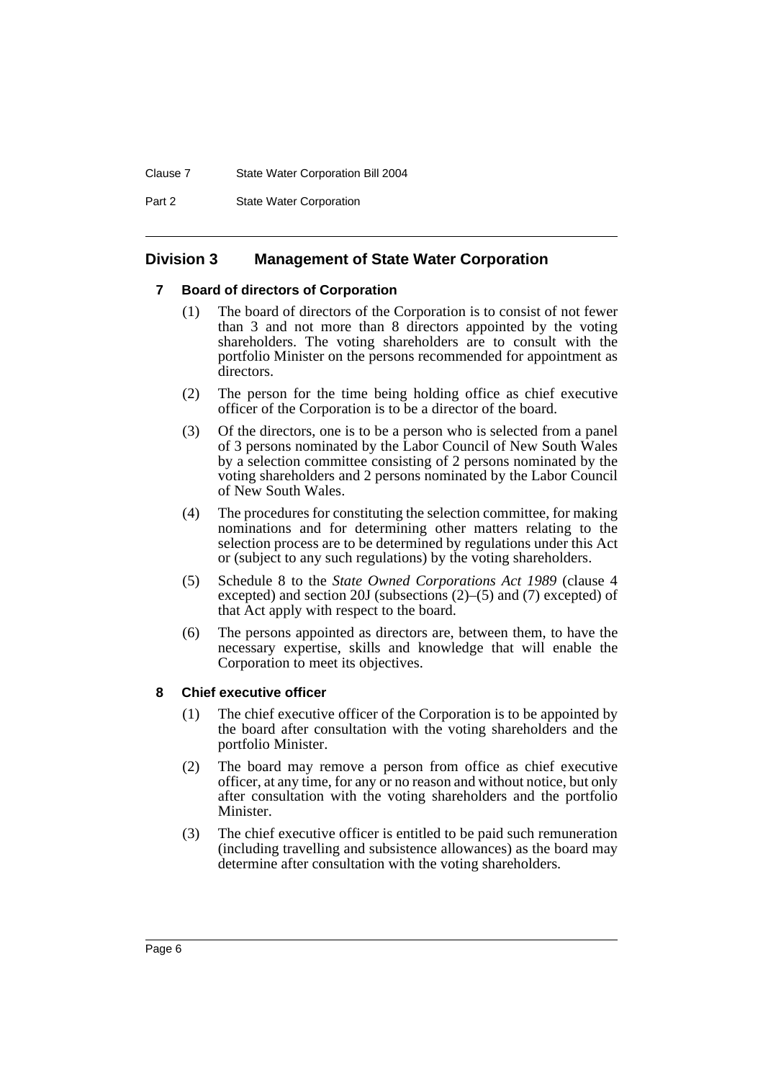#### Clause 7 State Water Corporation Bill 2004

Part 2 **State Water Corporation** 

# **Division 3 Management of State Water Corporation**

# **7 Board of directors of Corporation**

- (1) The board of directors of the Corporation is to consist of not fewer than 3 and not more than 8 directors appointed by the voting shareholders. The voting shareholders are to consult with the portfolio Minister on the persons recommended for appointment as directors.
- (2) The person for the time being holding office as chief executive officer of the Corporation is to be a director of the board.
- (3) Of the directors, one is to be a person who is selected from a panel of 3 persons nominated by the Labor Council of New South Wales by a selection committee consisting of 2 persons nominated by the voting shareholders and 2 persons nominated by the Labor Council of New South Wales.
- (4) The procedures for constituting the selection committee, for making nominations and for determining other matters relating to the selection process are to be determined by regulations under this Act or (subject to any such regulations) by the voting shareholders.
- (5) Schedule 8 to the *State Owned Corporations Act 1989* (clause 4 excepted) and section 20J (subsections (2)–(5) and (7) excepted) of that Act apply with respect to the board.
- (6) The persons appointed as directors are, between them, to have the necessary expertise, skills and knowledge that will enable the Corporation to meet its objectives.

# **8 Chief executive officer**

- (1) The chief executive officer of the Corporation is to be appointed by the board after consultation with the voting shareholders and the portfolio Minister.
- (2) The board may remove a person from office as chief executive officer, at any time, for any or no reason and without notice, but only after consultation with the voting shareholders and the portfolio Minister.
- (3) The chief executive officer is entitled to be paid such remuneration (including travelling and subsistence allowances) as the board may determine after consultation with the voting shareholders.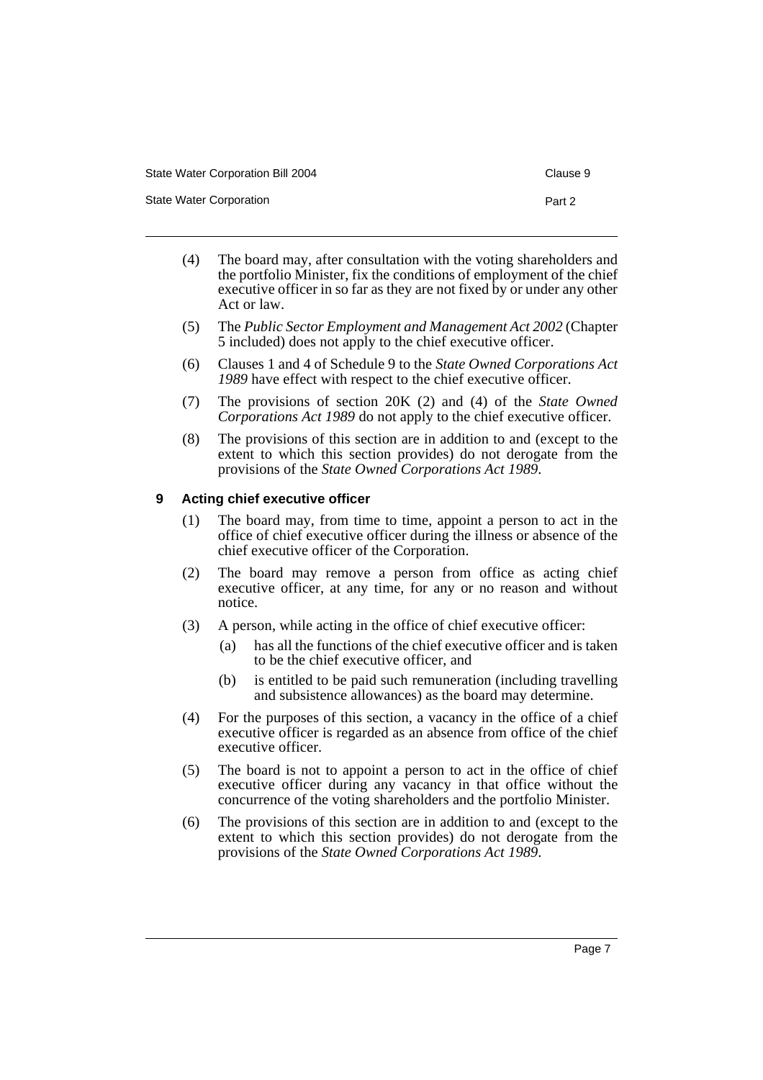State Water Corporation **Part 2** 

- 
- (4) The board may, after consultation with the voting shareholders and the portfolio Minister, fix the conditions of employment of the chief executive officer in so far as they are not fixed by or under any other Act or law.
- (5) The *Public Sector Employment and Management Act 2002* (Chapter 5 included) does not apply to the chief executive officer.
- (6) Clauses 1 and 4 of Schedule 9 to the *State Owned Corporations Act 1989* have effect with respect to the chief executive officer.
- (7) The provisions of section 20K (2) and (4) of the *State Owned Corporations Act 1989* do not apply to the chief executive officer.
- (8) The provisions of this section are in addition to and (except to the extent to which this section provides) do not derogate from the provisions of the *State Owned Corporations Act 1989*.

#### **9 Acting chief executive officer**

- (1) The board may, from time to time, appoint a person to act in the office of chief executive officer during the illness or absence of the chief executive officer of the Corporation.
- (2) The board may remove a person from office as acting chief executive officer, at any time, for any or no reason and without notice.
- (3) A person, while acting in the office of chief executive officer:
	- (a) has all the functions of the chief executive officer and is taken to be the chief executive officer, and
	- (b) is entitled to be paid such remuneration (including travelling and subsistence allowances) as the board may determine.
- (4) For the purposes of this section, a vacancy in the office of a chief executive officer is regarded as an absence from office of the chief executive officer.
- (5) The board is not to appoint a person to act in the office of chief executive officer during any vacancy in that office without the concurrence of the voting shareholders and the portfolio Minister.
- (6) The provisions of this section are in addition to and (except to the extent to which this section provides) do not derogate from the provisions of the *State Owned Corporations Act 1989*.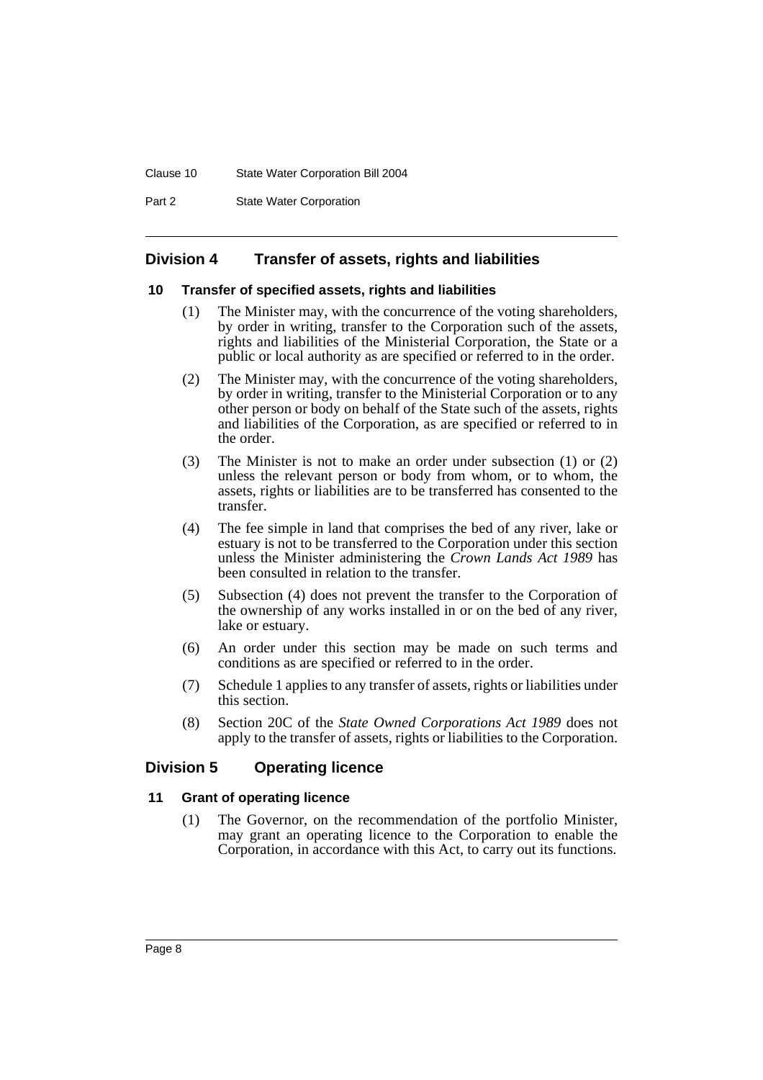#### Clause 10 State Water Corporation Bill 2004

Part 2 **State Water Corporation** 

# **Division 4 Transfer of assets, rights and liabilities**

#### **10 Transfer of specified assets, rights and liabilities**

- (1) The Minister may, with the concurrence of the voting shareholders, by order in writing, transfer to the Corporation such of the assets, rights and liabilities of the Ministerial Corporation, the State or a public or local authority as are specified or referred to in the order.
- (2) The Minister may, with the concurrence of the voting shareholders, by order in writing, transfer to the Ministerial Corporation or to any other person or body on behalf of the State such of the assets, rights and liabilities of the Corporation, as are specified or referred to in the order.
- (3) The Minister is not to make an order under subsection (1) or (2) unless the relevant person or body from whom, or to whom, the assets, rights or liabilities are to be transferred has consented to the transfer.
- (4) The fee simple in land that comprises the bed of any river, lake or estuary is not to be transferred to the Corporation under this section unless the Minister administering the *Crown Lands Act 1989* has been consulted in relation to the transfer.
- (5) Subsection (4) does not prevent the transfer to the Corporation of the ownership of any works installed in or on the bed of any river, lake or estuary.
- (6) An order under this section may be made on such terms and conditions as are specified or referred to in the order.
- (7) Schedule 1 applies to any transfer of assets, rights or liabilities under this section.
- (8) Section 20C of the *State Owned Corporations Act 1989* does not apply to the transfer of assets, rights or liabilities to the Corporation.

# **Division 5 Operating licence**

# **11 Grant of operating licence**

(1) The Governor, on the recommendation of the portfolio Minister, may grant an operating licence to the Corporation to enable the Corporation, in accordance with this Act, to carry out its functions.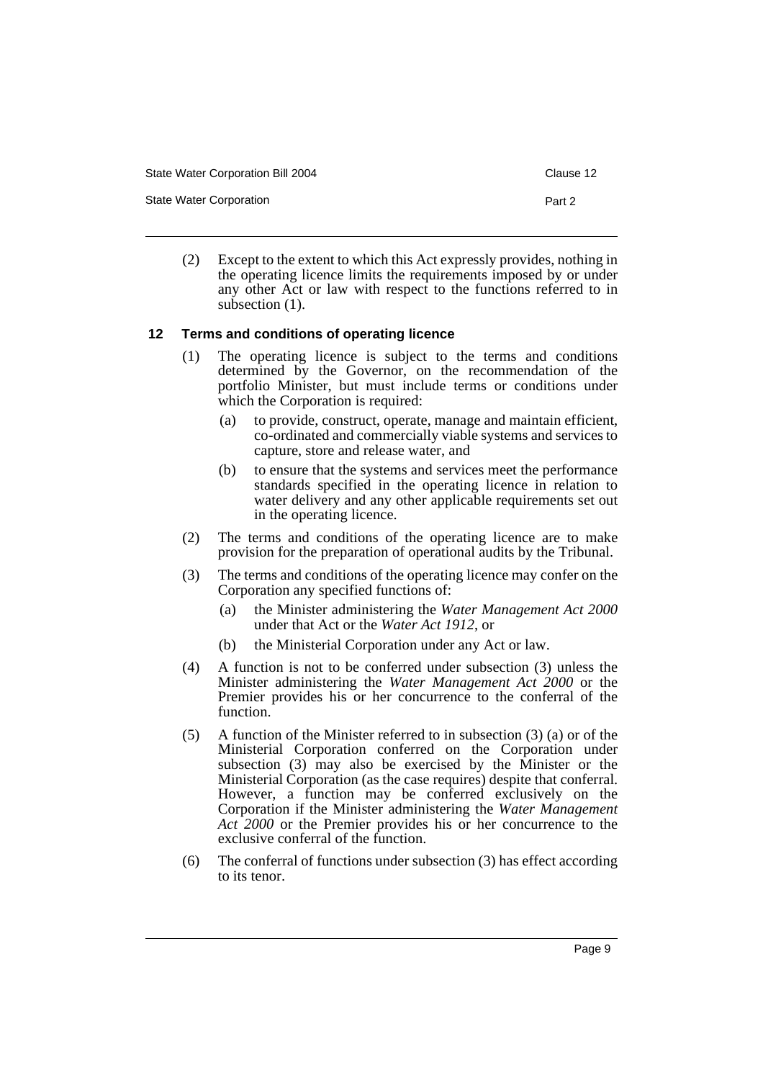State Water Corporation Bill 2004 Clause 12

State Water Corporation **Part 2** 

(2) Except to the extent to which this Act expressly provides, nothing in the operating licence limits the requirements imposed by or under any other Act or law with respect to the functions referred to in subsection  $(1)$ .

#### **12 Terms and conditions of operating licence**

- (1) The operating licence is subject to the terms and conditions determined by the Governor, on the recommendation of the portfolio Minister, but must include terms or conditions under which the Corporation is required:
	- (a) to provide, construct, operate, manage and maintain efficient, co-ordinated and commercially viable systems and services to capture, store and release water, and
	- (b) to ensure that the systems and services meet the performance standards specified in the operating licence in relation to water delivery and any other applicable requirements set out in the operating licence.
- (2) The terms and conditions of the operating licence are to make provision for the preparation of operational audits by the Tribunal.
- (3) The terms and conditions of the operating licence may confer on the Corporation any specified functions of:
	- (a) the Minister administering the *Water Management Act 2000* under that Act or the *Water Act 1912*, or
	- (b) the Ministerial Corporation under any Act or law.
- (4) A function is not to be conferred under subsection (3) unless the Minister administering the *Water Management Act 2000* or the Premier provides his or her concurrence to the conferral of the function.
- (5) A function of the Minister referred to in subsection (3) (a) or of the Ministerial Corporation conferred on the Corporation under subsection (3) may also be exercised by the Minister or the Ministerial Corporation (as the case requires) despite that conferral. However, a function may be conferred exclusively on the Corporation if the Minister administering the *Water Management Act 2000* or the Premier provides his or her concurrence to the exclusive conferral of the function.
- (6) The conferral of functions under subsection (3) has effect according to its tenor.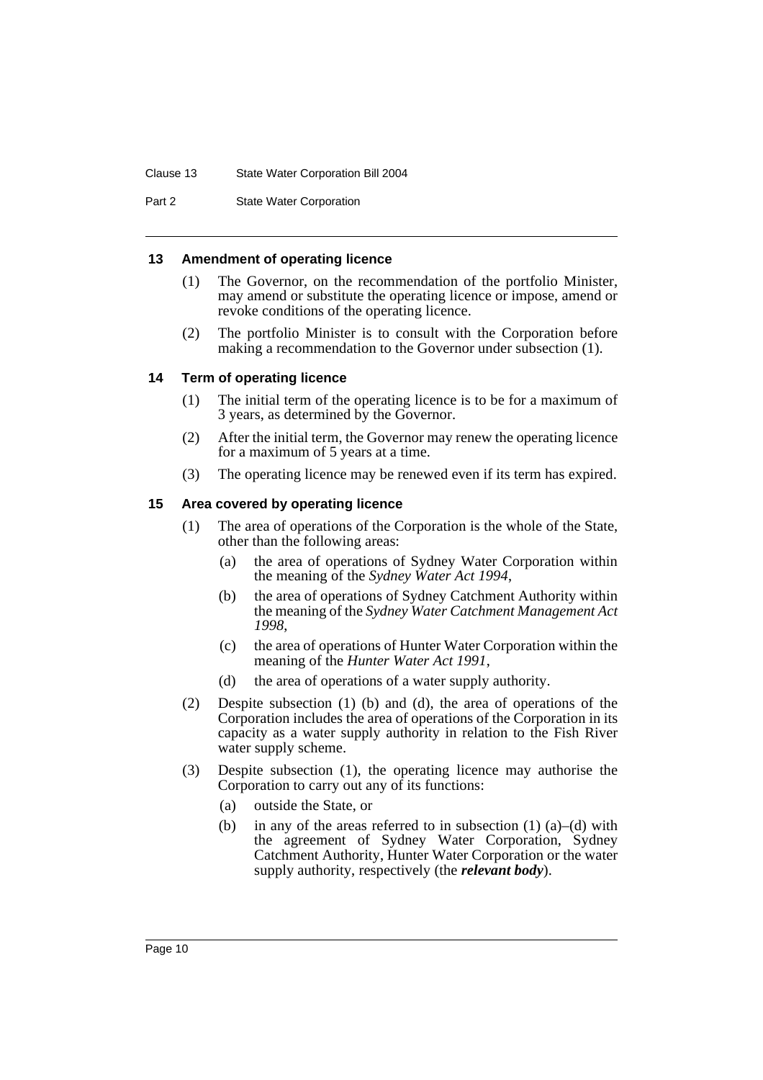#### Clause 13 State Water Corporation Bill 2004

Part 2 **State Water Corporation** 

#### **13 Amendment of operating licence**

- (1) The Governor, on the recommendation of the portfolio Minister, may amend or substitute the operating licence or impose, amend or revoke conditions of the operating licence.
- (2) The portfolio Minister is to consult with the Corporation before making a recommendation to the Governor under subsection (1).

# **14 Term of operating licence**

- (1) The initial term of the operating licence is to be for a maximum of 3 years, as determined by the Governor.
- (2) After the initial term, the Governor may renew the operating licence for a maximum of 5 years at a time.
- (3) The operating licence may be renewed even if its term has expired.

# **15 Area covered by operating licence**

- (1) The area of operations of the Corporation is the whole of the State, other than the following areas:
	- (a) the area of operations of Sydney Water Corporation within the meaning of the *Sydney Water Act 1994*,
	- (b) the area of operations of Sydney Catchment Authority within the meaning of the *Sydney Water Catchment Management Act 1998*,
	- (c) the area of operations of Hunter Water Corporation within the meaning of the *Hunter Water Act 1991*,
	- (d) the area of operations of a water supply authority.
- (2) Despite subsection (1) (b) and (d), the area of operations of the Corporation includes the area of operations of the Corporation in its capacity as a water supply authority in relation to the Fish River water supply scheme.
- (3) Despite subsection (1), the operating licence may authorise the Corporation to carry out any of its functions:
	- (a) outside the State, or
	- (b) in any of the areas referred to in subsection  $(1)$   $(a)$ – $(d)$  with the agreement of Sydney Water Corporation, Sydney Catchment Authority, Hunter Water Corporation or the water supply authority, respectively (the *relevant body*).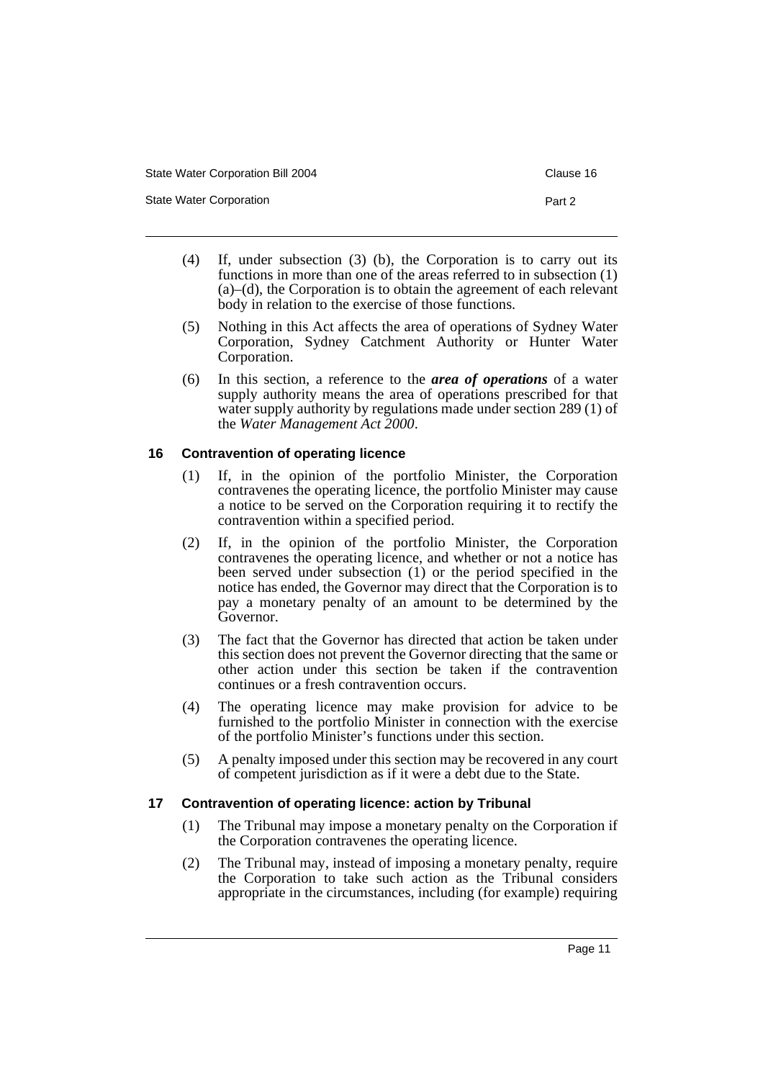State Water Corporation **Part 2** 

- (4) If, under subsection (3) (b), the Corporation is to carry out its functions in more than one of the areas referred to in subsection (1) (a)–(d), the Corporation is to obtain the agreement of each relevant body in relation to the exercise of those functions.
- (5) Nothing in this Act affects the area of operations of Sydney Water Corporation, Sydney Catchment Authority or Hunter Water Corporation.
- (6) In this section, a reference to the *area of operations* of a water supply authority means the area of operations prescribed for that water supply authority by regulations made under section 289 (1) of the *Water Management Act 2000*.

# **16 Contravention of operating licence**

- (1) If, in the opinion of the portfolio Minister, the Corporation contravenes the operating licence, the portfolio Minister may cause a notice to be served on the Corporation requiring it to rectify the contravention within a specified period.
- (2) If, in the opinion of the portfolio Minister, the Corporation contravenes the operating licence, and whether or not a notice has been served under subsection (1) or the period specified in the notice has ended, the Governor may direct that the Corporation is to pay a monetary penalty of an amount to be determined by the Governor.
- (3) The fact that the Governor has directed that action be taken under this section does not prevent the Governor directing that the same or other action under this section be taken if the contravention continues or a fresh contravention occurs.
- (4) The operating licence may make provision for advice to be furnished to the portfolio Minister in connection with the exercise of the portfolio Minister's functions under this section.
- (5) A penalty imposed under this section may be recovered in any court of competent jurisdiction as if it were a debt due to the State.

# **17 Contravention of operating licence: action by Tribunal**

- (1) The Tribunal may impose a monetary penalty on the Corporation if the Corporation contravenes the operating licence.
- (2) The Tribunal may, instead of imposing a monetary penalty, require the Corporation to take such action as the Tribunal considers appropriate in the circumstances, including (for example) requiring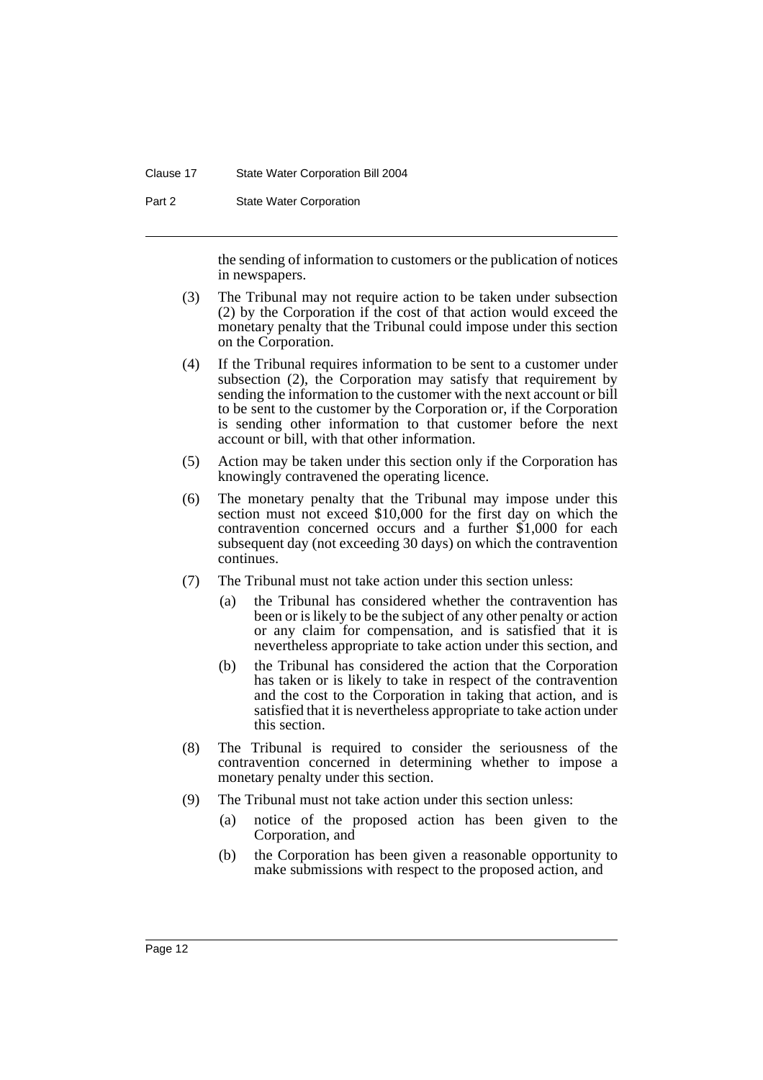#### Clause 17 State Water Corporation Bill 2004

Part 2 **State Water Corporation** 

the sending of information to customers or the publication of notices in newspapers.

- (3) The Tribunal may not require action to be taken under subsection (2) by the Corporation if the cost of that action would exceed the monetary penalty that the Tribunal could impose under this section on the Corporation.
- (4) If the Tribunal requires information to be sent to a customer under subsection (2), the Corporation may satisfy that requirement by sending the information to the customer with the next account or bill to be sent to the customer by the Corporation or, if the Corporation is sending other information to that customer before the next account or bill, with that other information.
- (5) Action may be taken under this section only if the Corporation has knowingly contravened the operating licence.
- (6) The monetary penalty that the Tribunal may impose under this section must not exceed \$10,000 for the first day on which the contravention concerned occurs and a further \$1,000 for each subsequent day (not exceeding 30 days) on which the contravention continues.
- (7) The Tribunal must not take action under this section unless:
	- (a) the Tribunal has considered whether the contravention has been or is likely to be the subject of any other penalty or action or any claim for compensation, and is satisfied that it is nevertheless appropriate to take action under this section, and
	- (b) the Tribunal has considered the action that the Corporation has taken or is likely to take in respect of the contravention and the cost to the Corporation in taking that action, and is satisfied that it is nevertheless appropriate to take action under this section.
- (8) The Tribunal is required to consider the seriousness of the contravention concerned in determining whether to impose a monetary penalty under this section.
- (9) The Tribunal must not take action under this section unless:
	- (a) notice of the proposed action has been given to the Corporation, and
	- (b) the Corporation has been given a reasonable opportunity to make submissions with respect to the proposed action, and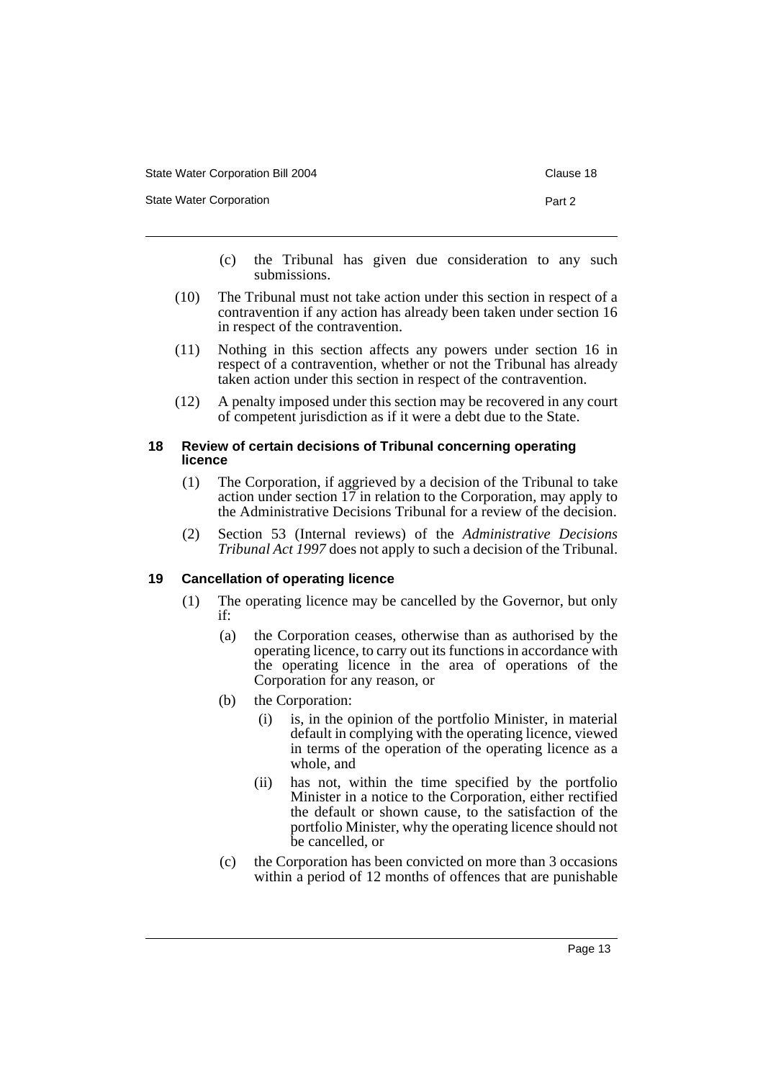| State Water Corporation Bill 2004 | Clause 18 |
|-----------------------------------|-----------|
| State Water Corporation           | Part 2    |

- (c) the Tribunal has given due consideration to any such submissions.
- (10) The Tribunal must not take action under this section in respect of a contravention if any action has already been taken under section 16 in respect of the contravention.
- (11) Nothing in this section affects any powers under section 16 in respect of a contravention, whether or not the Tribunal has already taken action under this section in respect of the contravention.
- (12) A penalty imposed under this section may be recovered in any court of competent jurisdiction as if it were a debt due to the State.

## **18 Review of certain decisions of Tribunal concerning operating licence**

- (1) The Corporation, if aggrieved by a decision of the Tribunal to take action under section 17 in relation to the Corporation, may apply to the Administrative Decisions Tribunal for a review of the decision.
- (2) Section 53 (Internal reviews) of the *Administrative Decisions Tribunal Act 1997* does not apply to such a decision of the Tribunal.

# **19 Cancellation of operating licence**

- (1) The operating licence may be cancelled by the Governor, but only if:
	- (a) the Corporation ceases, otherwise than as authorised by the operating licence, to carry out its functions in accordance with the operating licence in the area of operations of the Corporation for any reason, or
	- (b) the Corporation:
		- (i) is, in the opinion of the portfolio Minister, in material default in complying with the operating licence, viewed in terms of the operation of the operating licence as a whole, and
		- (ii) has not, within the time specified by the portfolio Minister in a notice to the Corporation, either rectified the default or shown cause, to the satisfaction of the portfolio Minister, why the operating licence should not be cancelled, or
	- (c) the Corporation has been convicted on more than 3 occasions within a period of 12 months of offences that are punishable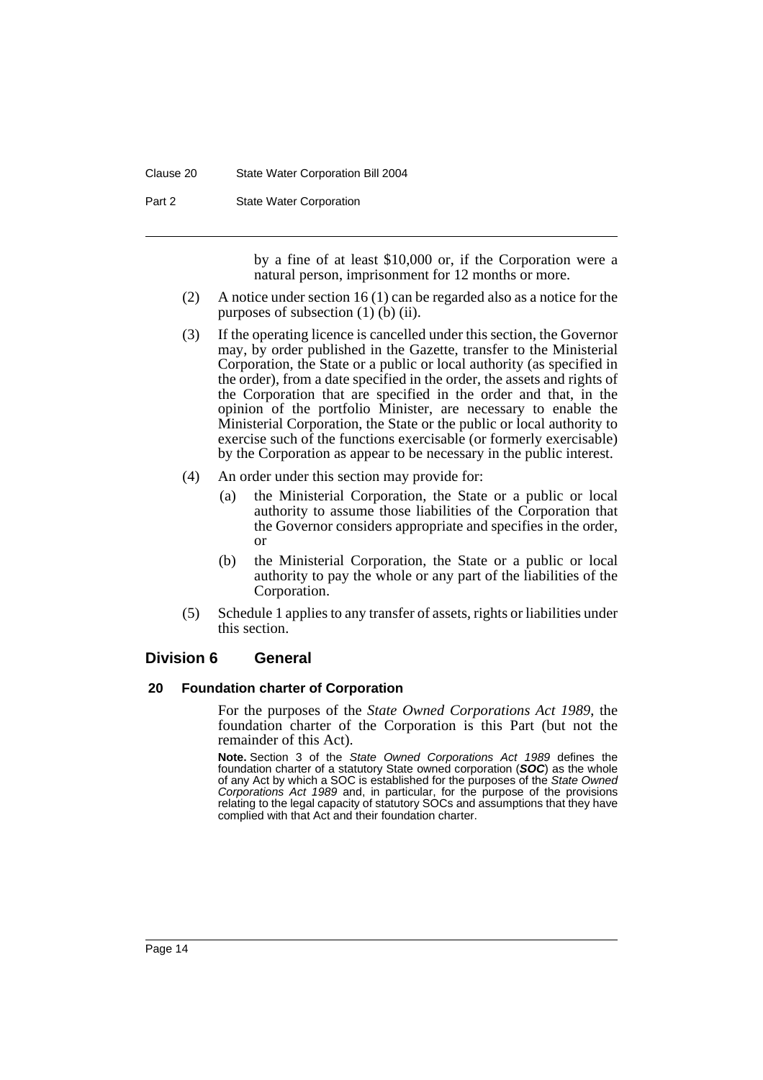#### Clause 20 State Water Corporation Bill 2004

Part 2 **State Water Corporation** 

by a fine of at least \$10,000 or, if the Corporation were a natural person, imprisonment for 12 months or more.

- (2) A notice under section 16 (1) can be regarded also as a notice for the purposes of subsection  $(1)$   $(b)$   $(ii)$ .
- (3) If the operating licence is cancelled under this section, the Governor may, by order published in the Gazette, transfer to the Ministerial Corporation, the State or a public or local authority (as specified in the order), from a date specified in the order, the assets and rights of the Corporation that are specified in the order and that, in the opinion of the portfolio Minister, are necessary to enable the Ministerial Corporation, the State or the public or local authority to exercise such of the functions exercisable (or formerly exercisable) by the Corporation as appear to be necessary in the public interest.
- (4) An order under this section may provide for:
	- (a) the Ministerial Corporation, the State or a public or local authority to assume those liabilities of the Corporation that the Governor considers appropriate and specifies in the order, or
	- (b) the Ministerial Corporation, the State or a public or local authority to pay the whole or any part of the liabilities of the Corporation.
- (5) Schedule 1 applies to any transfer of assets, rights or liabilities under this section.

#### **Division 6 General**

#### **20 Foundation charter of Corporation**

For the purposes of the *State Owned Corporations Act 1989*, the foundation charter of the Corporation is this Part (but not the remainder of this Act).

**Note.** Section 3 of the *State Owned Corporations Act 1989* defines the foundation charter of a statutory State owned corporation (*SOC*) as the whole of any Act by which a SOC is established for the purposes of the *State Owned Corporations Act 1989* and, in particular, for the purpose of the provisions relating to the legal capacity of statutory SOCs and assumptions that they have complied with that Act and their foundation charter.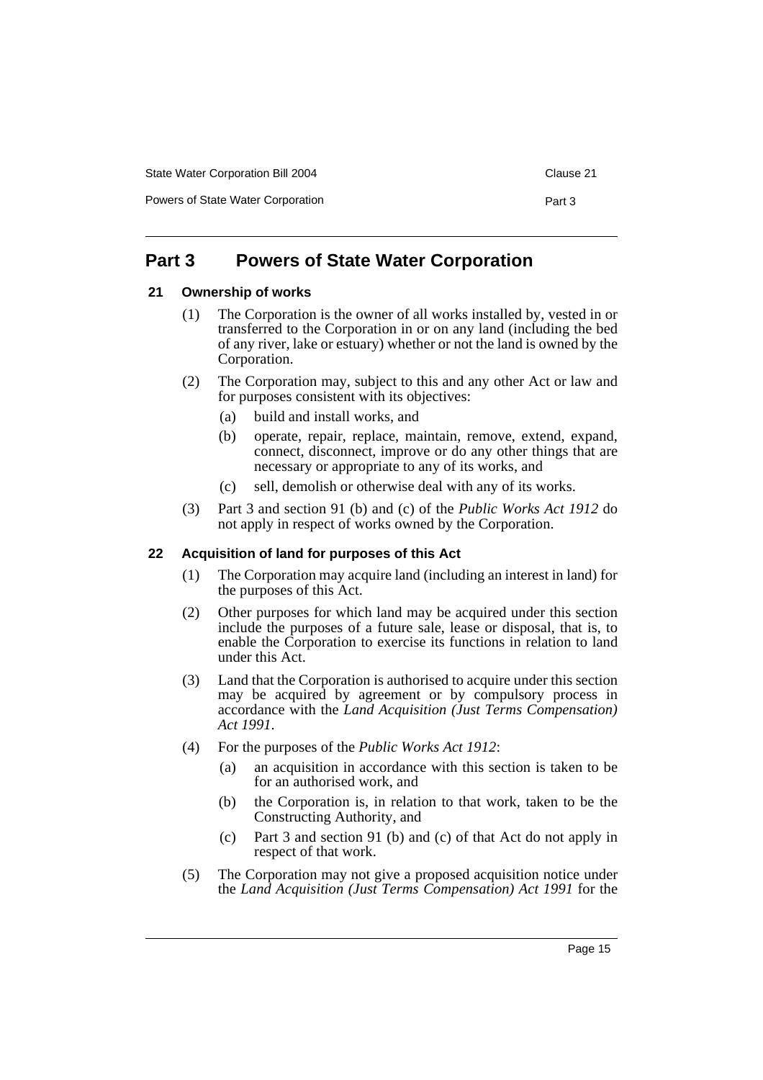Powers of State Water Corporation **Part 3** Part 3

# **Part 3 Powers of State Water Corporation**

# **21 Ownership of works**

- (1) The Corporation is the owner of all works installed by, vested in or transferred to the Corporation in or on any land (including the bed of any river, lake or estuary) whether or not the land is owned by the Corporation.
- (2) The Corporation may, subject to this and any other Act or law and for purposes consistent with its objectives:
	- (a) build and install works, and
	- (b) operate, repair, replace, maintain, remove, extend, expand, connect, disconnect, improve or do any other things that are necessary or appropriate to any of its works, and
	- (c) sell, demolish or otherwise deal with any of its works.
- (3) Part 3 and section 91 (b) and (c) of the *Public Works Act 1912* do not apply in respect of works owned by the Corporation.

# **22 Acquisition of land for purposes of this Act**

- (1) The Corporation may acquire land (including an interest in land) for the purposes of this Act.
- (2) Other purposes for which land may be acquired under this section include the purposes of a future sale, lease or disposal, that is, to enable the Corporation to exercise its functions in relation to land under this Act.
- (3) Land that the Corporation is authorised to acquire under this section may be acquired by agreement or by compulsory process in accordance with the *Land Acquisition (Just Terms Compensation) Act 1991*.
- (4) For the purposes of the *Public Works Act 1912*:
	- (a) an acquisition in accordance with this section is taken to be for an authorised work, and
	- (b) the Corporation is, in relation to that work, taken to be the Constructing Authority, and
	- (c) Part 3 and section 91 (b) and (c) of that Act do not apply in respect of that work.
- (5) The Corporation may not give a proposed acquisition notice under the *Land Acquisition (Just Terms Compensation) Act 1991* for the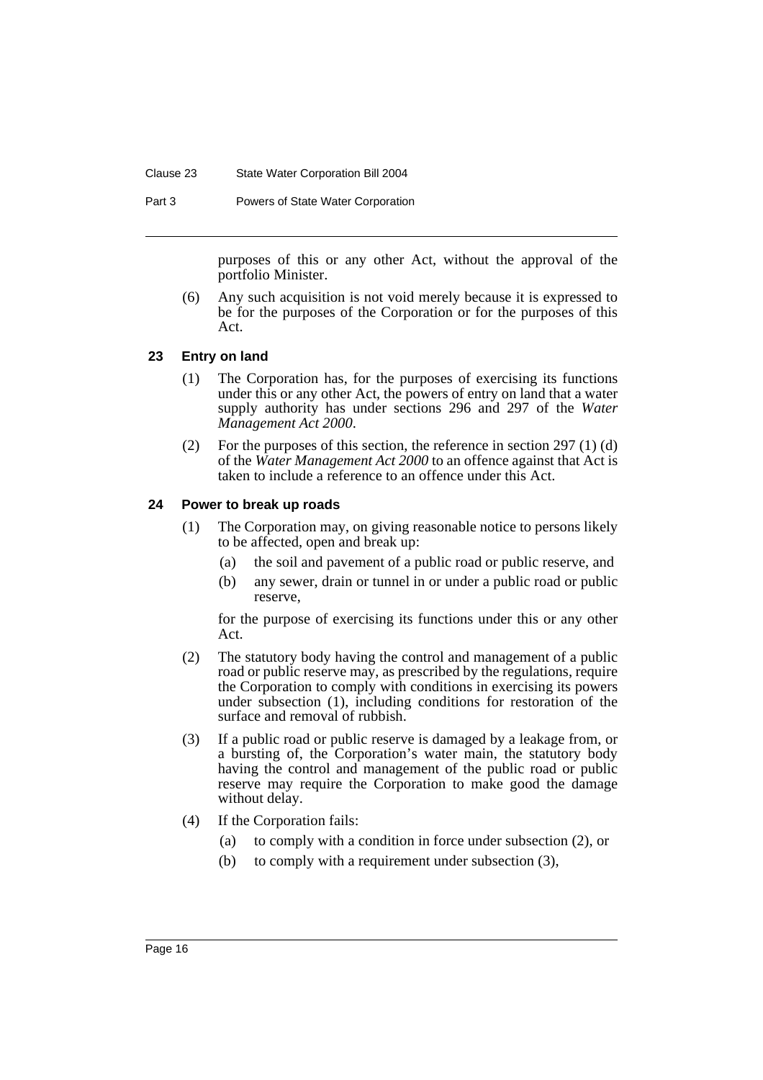#### Clause 23 State Water Corporation Bill 2004

Part 3 Powers of State Water Corporation

purposes of this or any other Act, without the approval of the portfolio Minister.

(6) Any such acquisition is not void merely because it is expressed to be for the purposes of the Corporation or for the purposes of this Act.

# **23 Entry on land**

- (1) The Corporation has, for the purposes of exercising its functions under this or any other Act, the powers of entry on land that a water supply authority has under sections 296 and 297 of the *Water Management Act 2000*.
- (2) For the purposes of this section, the reference in section 297 (1) (d) of the *Water Management Act 2000* to an offence against that Act is taken to include a reference to an offence under this Act.

#### **24 Power to break up roads**

- (1) The Corporation may, on giving reasonable notice to persons likely to be affected, open and break up:
	- (a) the soil and pavement of a public road or public reserve, and
	- (b) any sewer, drain or tunnel in or under a public road or public reserve,

for the purpose of exercising its functions under this or any other Act.

- (2) The statutory body having the control and management of a public road or public reserve may, as prescribed by the regulations, require the Corporation to comply with conditions in exercising its powers under subsection (1), including conditions for restoration of the surface and removal of rubbish.
- (3) If a public road or public reserve is damaged by a leakage from, or a bursting of, the Corporation's water main, the statutory body having the control and management of the public road or public reserve may require the Corporation to make good the damage without delay.
- (4) If the Corporation fails:
	- (a) to comply with a condition in force under subsection (2), or
	- (b) to comply with a requirement under subsection (3),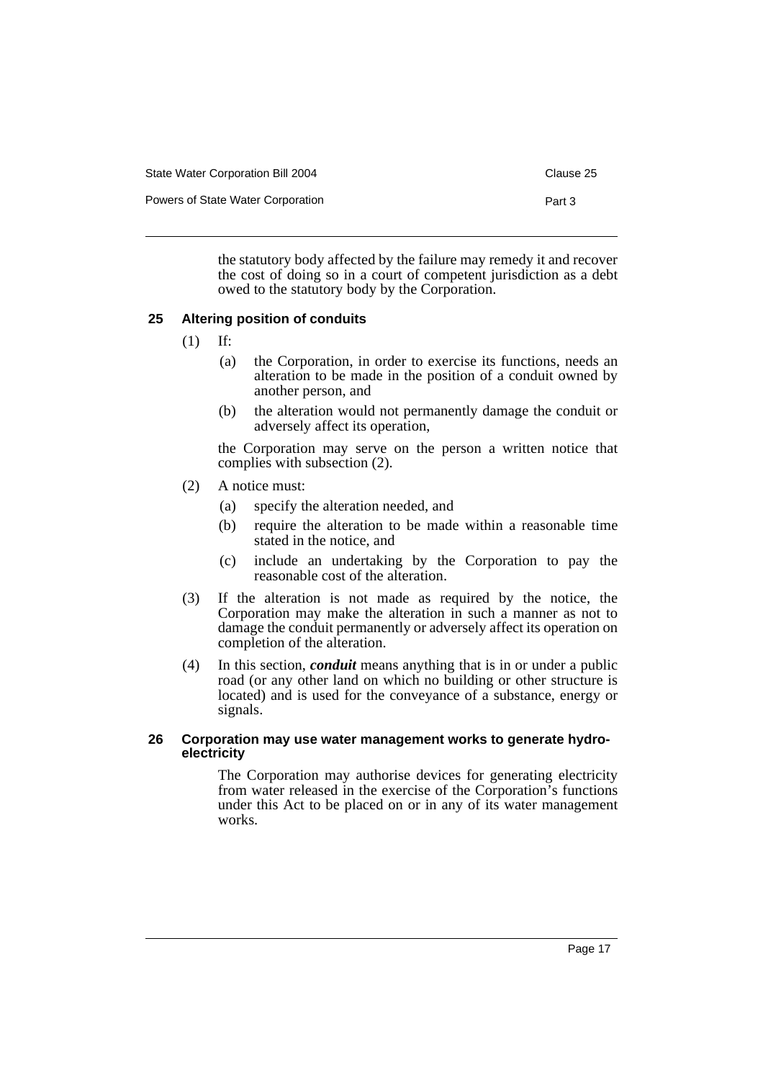| State Water Corporation Bill 2004 | Clause 25 |
|-----------------------------------|-----------|
| Powers of State Water Corporation | Part 3    |

the statutory body affected by the failure may remedy it and recover the cost of doing so in a court of competent jurisdiction as a debt owed to the statutory body by the Corporation.

# **25 Altering position of conduits**

- (1) If:
	- (a) the Corporation, in order to exercise its functions, needs an alteration to be made in the position of a conduit owned by another person, and
	- (b) the alteration would not permanently damage the conduit or adversely affect its operation,

the Corporation may serve on the person a written notice that complies with subsection (2).

- (2) A notice must:
	- (a) specify the alteration needed, and
	- (b) require the alteration to be made within a reasonable time stated in the notice, and
	- (c) include an undertaking by the Corporation to pay the reasonable cost of the alteration.
- (3) If the alteration is not made as required by the notice, the Corporation may make the alteration in such a manner as not to damage the conduit permanently or adversely affect its operation on completion of the alteration.
- (4) In this section, *conduit* means anything that is in or under a public road (or any other land on which no building or other structure is located) and is used for the conveyance of a substance, energy or signals.

#### **26 Corporation may use water management works to generate hydroelectricity**

The Corporation may authorise devices for generating electricity from water released in the exercise of the Corporation's functions under this Act to be placed on or in any of its water management works.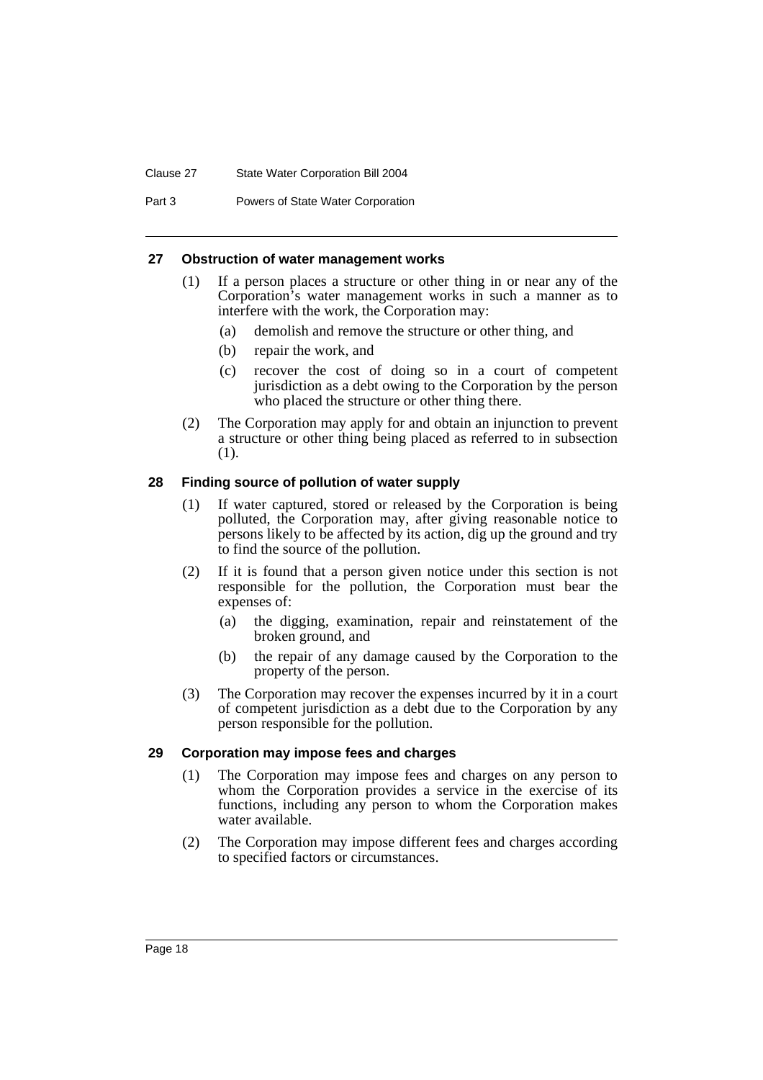#### Clause 27 State Water Corporation Bill 2004

Part 3 Powers of State Water Corporation

#### **27 Obstruction of water management works**

- (1) If a person places a structure or other thing in or near any of the Corporation's water management works in such a manner as to interfere with the work, the Corporation may:
	- (a) demolish and remove the structure or other thing, and
	- (b) repair the work, and
	- (c) recover the cost of doing so in a court of competent jurisdiction as a debt owing to the Corporation by the person who placed the structure or other thing there.
- (2) The Corporation may apply for and obtain an injunction to prevent a structure or other thing being placed as referred to in subsection (1).

# **28 Finding source of pollution of water supply**

- (1) If water captured, stored or released by the Corporation is being polluted, the Corporation may, after giving reasonable notice to persons likely to be affected by its action, dig up the ground and try to find the source of the pollution.
- (2) If it is found that a person given notice under this section is not responsible for the pollution, the Corporation must bear the expenses of:
	- (a) the digging, examination, repair and reinstatement of the broken ground, and
	- (b) the repair of any damage caused by the Corporation to the property of the person.
- (3) The Corporation may recover the expenses incurred by it in a court of competent jurisdiction as a debt due to the Corporation by any person responsible for the pollution.

# **29 Corporation may impose fees and charges**

- (1) The Corporation may impose fees and charges on any person to whom the Corporation provides a service in the exercise of its functions, including any person to whom the Corporation makes water available.
- (2) The Corporation may impose different fees and charges according to specified factors or circumstances.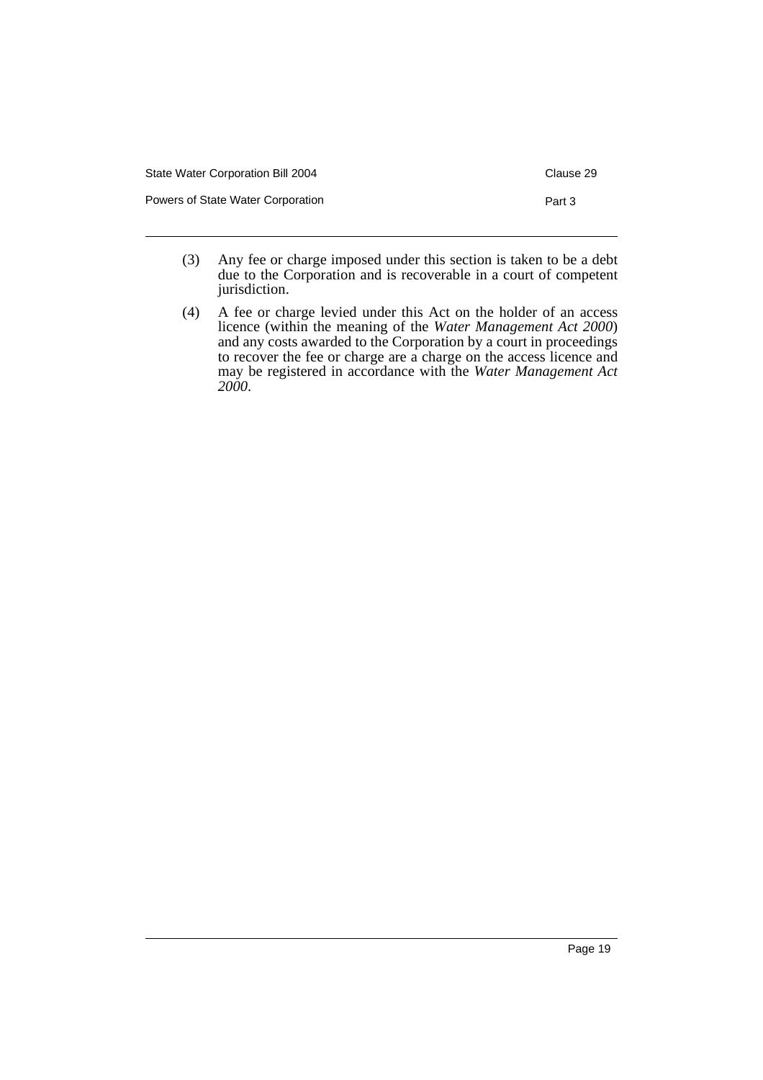| State Water Corporation Bill 2004 | Clause 29 |
|-----------------------------------|-----------|
| Powers of State Water Corporation | Part 3    |

- (3) Any fee or charge imposed under this section is taken to be a debt due to the Corporation and is recoverable in a court of competent jurisdiction.
- (4) A fee or charge levied under this Act on the holder of an access licence (within the meaning of the *Water Management Act 2000*) and any costs awarded to the Corporation by a court in proceedings to recover the fee or charge are a charge on the access licence and may be registered in accordance with the *Water Management Act 2000*.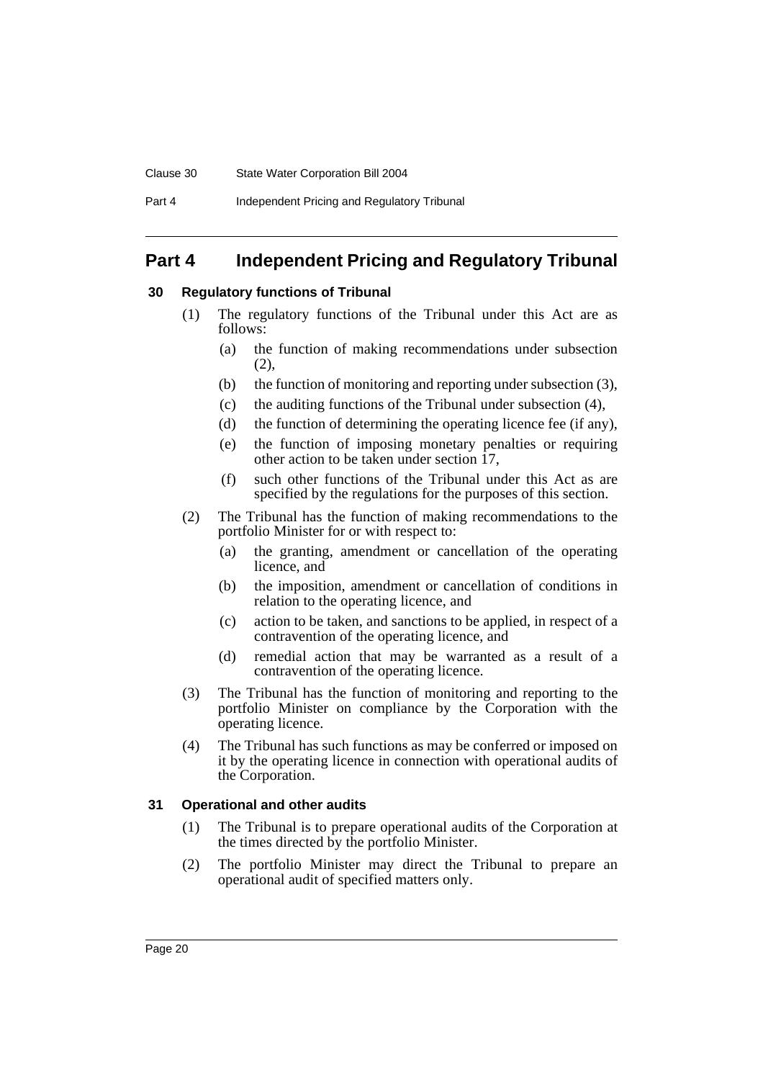#### Clause 30 State Water Corporation Bill 2004

# **Part 4 Independent Pricing and Regulatory Tribunal**

# **30 Regulatory functions of Tribunal**

- (1) The regulatory functions of the Tribunal under this Act are as follows:
	- (a) the function of making recommendations under subsection  $(2)$ ,
	- (b) the function of monitoring and reporting under subsection (3),
	- (c) the auditing functions of the Tribunal under subsection (4),
	- (d) the function of determining the operating licence fee (if any),
	- (e) the function of imposing monetary penalties or requiring other action to be taken under section 17,
	- (f) such other functions of the Tribunal under this Act as are specified by the regulations for the purposes of this section.
- (2) The Tribunal has the function of making recommendations to the portfolio Minister for or with respect to:
	- (a) the granting, amendment or cancellation of the operating licence, and
	- (b) the imposition, amendment or cancellation of conditions in relation to the operating licence, and
	- (c) action to be taken, and sanctions to be applied, in respect of a contravention of the operating licence, and
	- (d) remedial action that may be warranted as a result of a contravention of the operating licence.
- (3) The Tribunal has the function of monitoring and reporting to the portfolio Minister on compliance by the Corporation with the operating licence.
- (4) The Tribunal has such functions as may be conferred or imposed on it by the operating licence in connection with operational audits of the Corporation.

# **31 Operational and other audits**

- (1) The Tribunal is to prepare operational audits of the Corporation at the times directed by the portfolio Minister.
- (2) The portfolio Minister may direct the Tribunal to prepare an operational audit of specified matters only.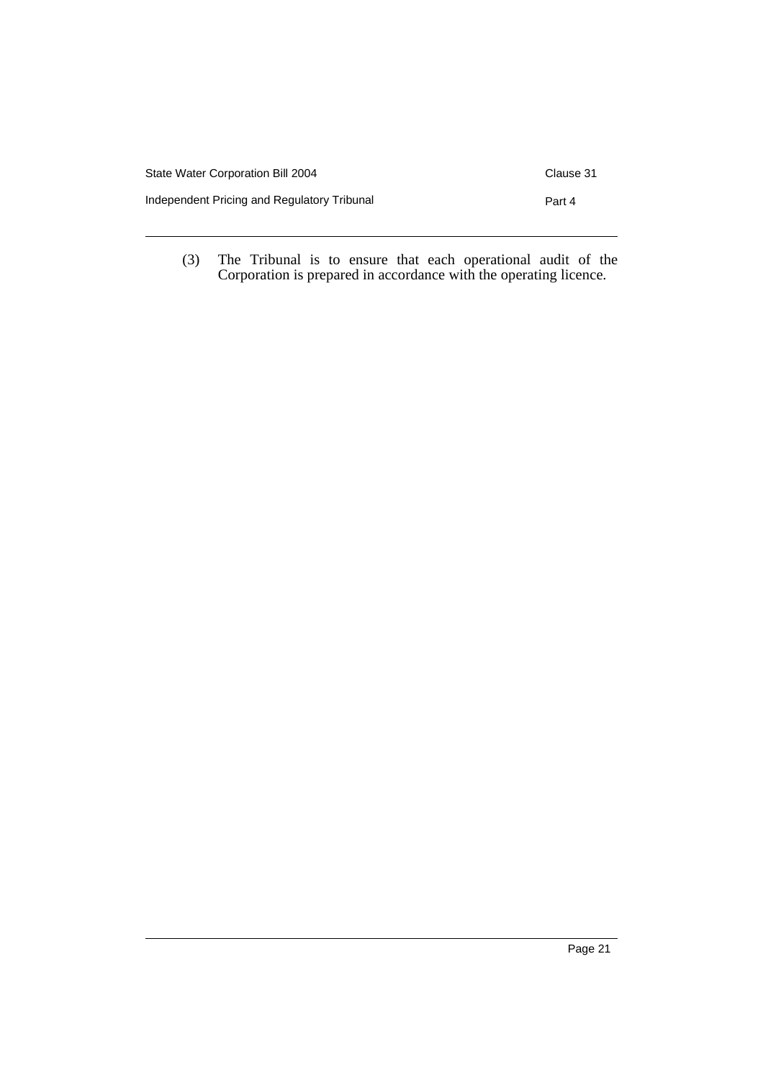| State Water Corporation Bill 2004           | Clause 31 |
|---------------------------------------------|-----------|
| Independent Pricing and Regulatory Tribunal | Part 4    |
|                                             |           |

(3) The Tribunal is to ensure that each operational audit of the Corporation is prepared in accordance with the operating licence.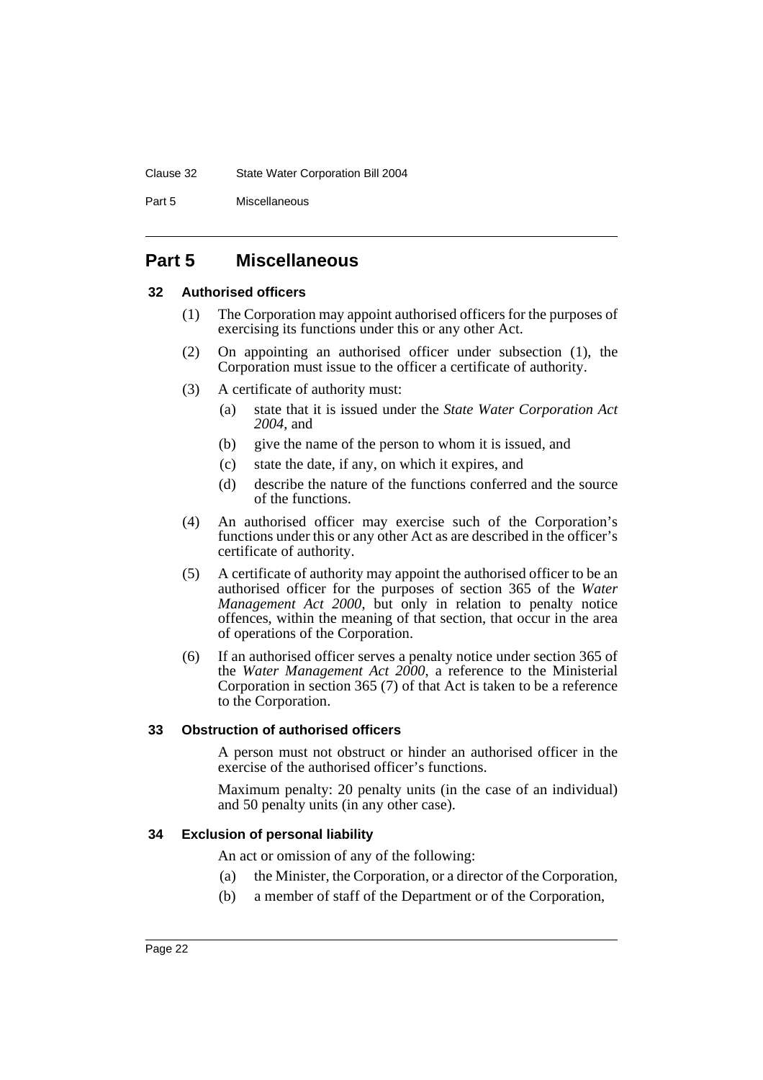#### Clause 32 State Water Corporation Bill 2004

Part 5 Miscellaneous

# **Part 5 Miscellaneous**

# **32 Authorised officers**

- (1) The Corporation may appoint authorised officers for the purposes of exercising its functions under this or any other Act.
- (2) On appointing an authorised officer under subsection (1), the Corporation must issue to the officer a certificate of authority.
- (3) A certificate of authority must:
	- (a) state that it is issued under the *State Water Corporation Act 2004*, and
	- (b) give the name of the person to whom it is issued, and
	- (c) state the date, if any, on which it expires, and
	- (d) describe the nature of the functions conferred and the source of the functions.
- (4) An authorised officer may exercise such of the Corporation's functions under this or any other Act as are described in the officer's certificate of authority.
- (5) A certificate of authority may appoint the authorised officer to be an authorised officer for the purposes of section 365 of the *Water Management Act 2000*, but only in relation to penalty notice offences, within the meaning of that section, that occur in the area of operations of the Corporation.
- (6) If an authorised officer serves a penalty notice under section 365 of the *Water Management Act 2000*, a reference to the Ministerial Corporation in section 365 (7) of that Act is taken to be a reference to the Corporation.

# **33 Obstruction of authorised officers**

A person must not obstruct or hinder an authorised officer in the exercise of the authorised officer's functions.

Maximum penalty: 20 penalty units (in the case of an individual) and 50 penalty units (in any other case).

# **34 Exclusion of personal liability**

An act or omission of any of the following:

- (a) the Minister, the Corporation, or a director of the Corporation,
- (b) a member of staff of the Department or of the Corporation,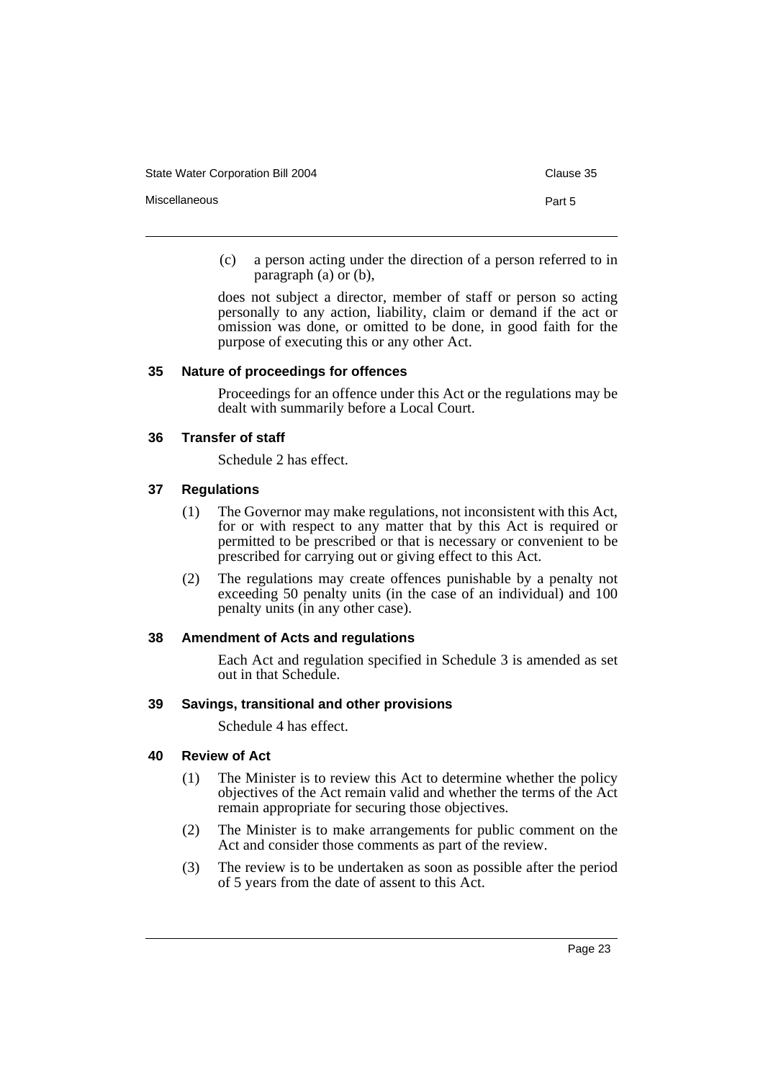State Water Corporation Bill 2004 Clause 35

Miscellaneous Part 5

(c) a person acting under the direction of a person referred to in paragraph (a) or (b),

does not subject a director, member of staff or person so acting personally to any action, liability, claim or demand if the act or omission was done, or omitted to be done, in good faith for the purpose of executing this or any other Act.

# **35 Nature of proceedings for offences**

Proceedings for an offence under this Act or the regulations may be dealt with summarily before a Local Court.

## **36 Transfer of staff**

Schedule 2 has effect.

#### **37 Regulations**

- (1) The Governor may make regulations, not inconsistent with this Act, for or with respect to any matter that by this Act is required or permitted to be prescribed or that is necessary or convenient to be prescribed for carrying out or giving effect to this Act.
- (2) The regulations may create offences punishable by a penalty not exceeding 50 penalty units (in the case of an individual) and 100 penalty units (in any other case).

# **38 Amendment of Acts and regulations**

Each Act and regulation specified in Schedule 3 is amended as set out in that Schedule.

# **39 Savings, transitional and other provisions**

Schedule 4 has effect.

#### **40 Review of Act**

- (1) The Minister is to review this Act to determine whether the policy objectives of the Act remain valid and whether the terms of the Act remain appropriate for securing those objectives.
- (2) The Minister is to make arrangements for public comment on the Act and consider those comments as part of the review.
- (3) The review is to be undertaken as soon as possible after the period of 5 years from the date of assent to this Act.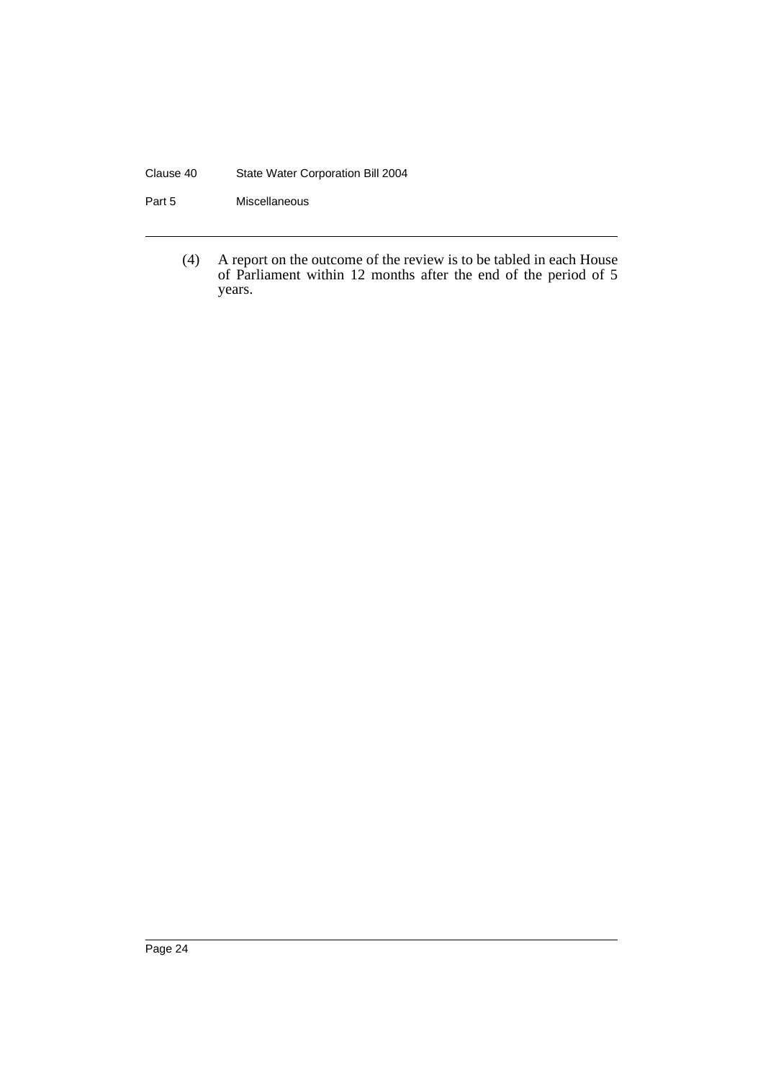## Clause 40 State Water Corporation Bill 2004

Part 5 Miscellaneous

(4) A report on the outcome of the review is to be tabled in each House of Parliament within 12 months after the end of the period of 5 years.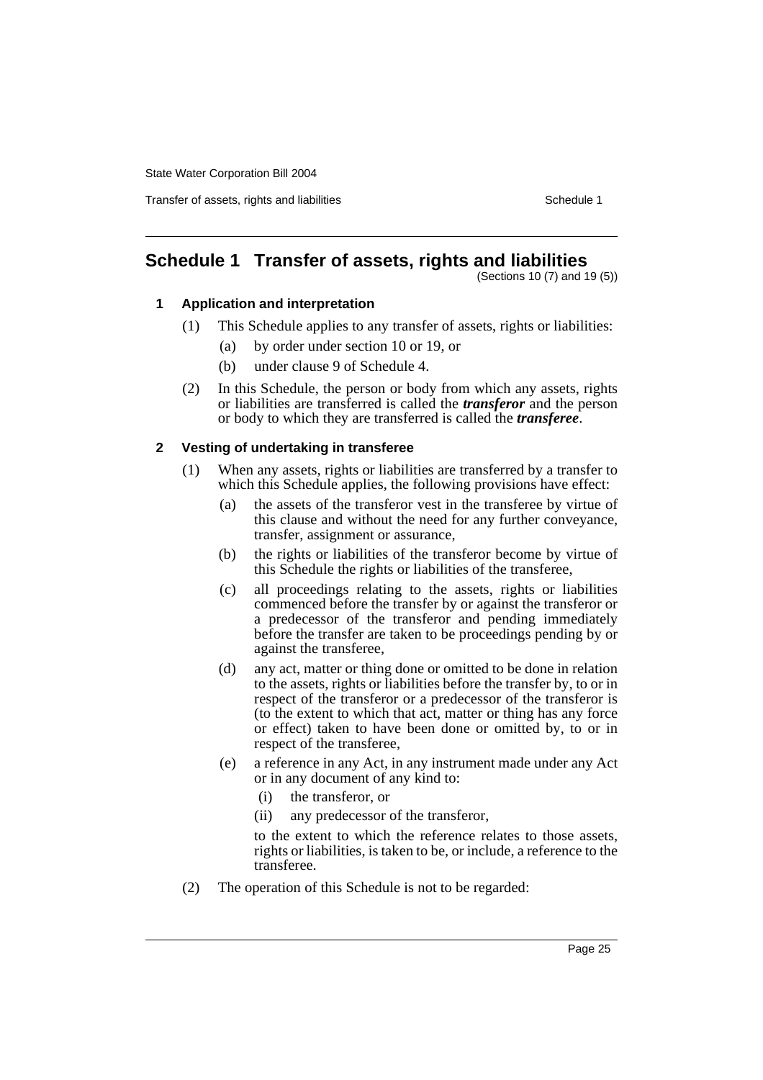Transfer of assets, rights and liabilities **Schedule 1** Schedule 1

# **Schedule 1 Transfer of assets, rights and liabilities**

(Sections 10 (7) and 19 (5))

# **1 Application and interpretation**

- (1) This Schedule applies to any transfer of assets, rights or liabilities:
	- (a) by order under section 10 or 19, or
	- (b) under clause 9 of Schedule 4.
- (2) In this Schedule, the person or body from which any assets, rights or liabilities are transferred is called the *transferor* and the person or body to which they are transferred is called the *transferee*.

# **2 Vesting of undertaking in transferee**

- (1) When any assets, rights or liabilities are transferred by a transfer to which this Schedule applies, the following provisions have effect:
	- (a) the assets of the transferor vest in the transferee by virtue of this clause and without the need for any further conveyance, transfer, assignment or assurance,
	- (b) the rights or liabilities of the transferor become by virtue of this Schedule the rights or liabilities of the transferee,
	- (c) all proceedings relating to the assets, rights or liabilities commenced before the transfer by or against the transferor or a predecessor of the transferor and pending immediately before the transfer are taken to be proceedings pending by or against the transferee,
	- (d) any act, matter or thing done or omitted to be done in relation to the assets, rights or liabilities before the transfer by, to or in respect of the transferor or a predecessor of the transferor is (to the extent to which that act, matter or thing has any force or effect) taken to have been done or omitted by, to or in respect of the transferee,
	- (e) a reference in any Act, in any instrument made under any Act or in any document of any kind to:
		- (i) the transferor, or
		- (ii) any predecessor of the transferor,

to the extent to which the reference relates to those assets, rights or liabilities, is taken to be, or include, a reference to the transferee.

(2) The operation of this Schedule is not to be regarded: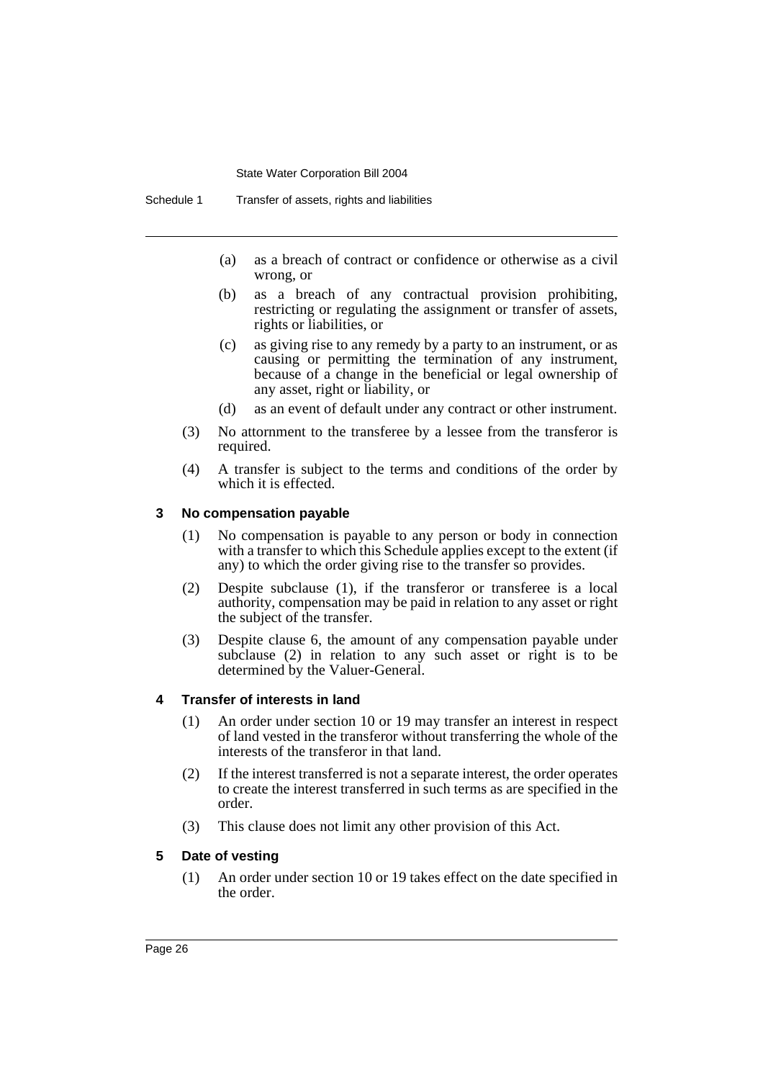- (a) as a breach of contract or confidence or otherwise as a civil wrong, or
- (b) as a breach of any contractual provision prohibiting, restricting or regulating the assignment or transfer of assets, rights or liabilities, or
- (c) as giving rise to any remedy by a party to an instrument, or as causing or permitting the termination of any instrument, because of a change in the beneficial or legal ownership of any asset, right or liability, or
- (d) as an event of default under any contract or other instrument.
- (3) No attornment to the transferee by a lessee from the transferor is required.
- (4) A transfer is subject to the terms and conditions of the order by which it is effected.

# **3 No compensation payable**

- (1) No compensation is payable to any person or body in connection with a transfer to which this Schedule applies except to the extent (if any) to which the order giving rise to the transfer so provides.
- (2) Despite subclause (1), if the transferor or transferee is a local authority, compensation may be paid in relation to any asset or right the subject of the transfer.
- (3) Despite clause 6, the amount of any compensation payable under subclause (2) in relation to any such asset or right is to be determined by the Valuer-General.

# **4 Transfer of interests in land**

- (1) An order under section 10 or 19 may transfer an interest in respect of land vested in the transferor without transferring the whole of the interests of the transferor in that land.
- (2) If the interest transferred is not a separate interest, the order operates to create the interest transferred in such terms as are specified in the order.
- (3) This clause does not limit any other provision of this Act.

# **5 Date of vesting**

(1) An order under section 10 or 19 takes effect on the date specified in the order.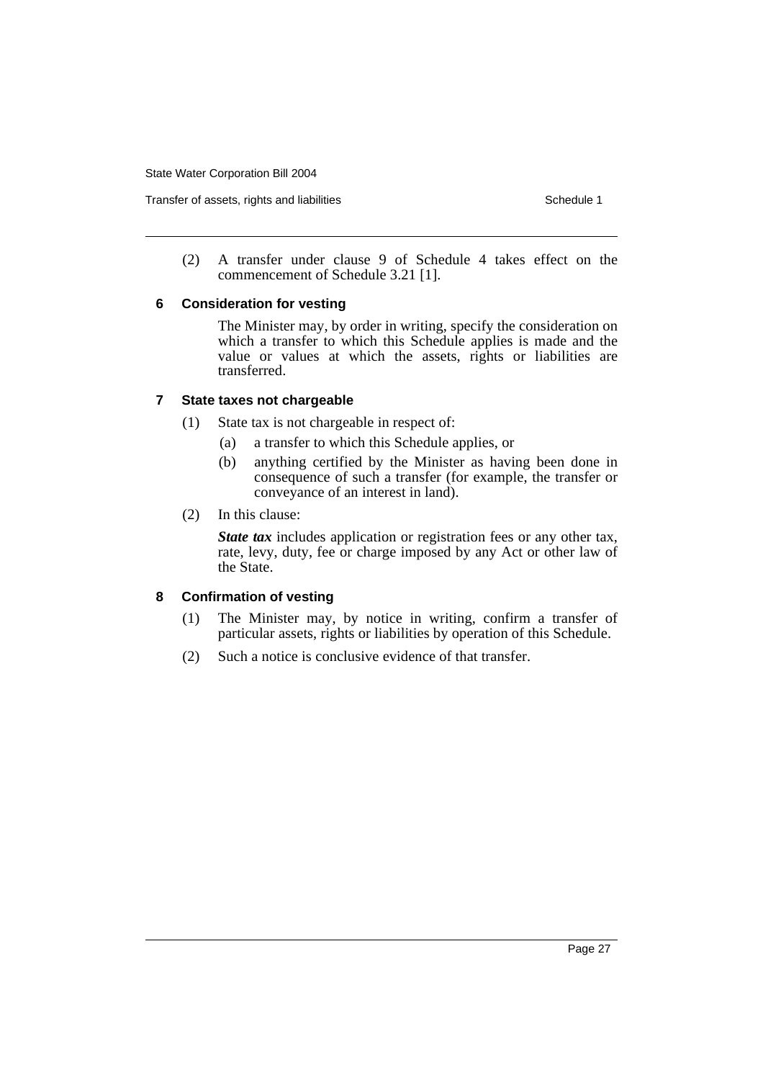(2) A transfer under clause 9 of Schedule 4 takes effect on the commencement of Schedule 3.21 [1].

# **6 Consideration for vesting**

The Minister may, by order in writing, specify the consideration on which a transfer to which this Schedule applies is made and the value or values at which the assets, rights or liabilities are transferred.

# **7 State taxes not chargeable**

- (1) State tax is not chargeable in respect of:
	- (a) a transfer to which this Schedule applies, or
	- (b) anything certified by the Minister as having been done in consequence of such a transfer (for example, the transfer or conveyance of an interest in land).
- (2) In this clause:

*State tax* includes application or registration fees or any other tax, rate, levy, duty, fee or charge imposed by any Act or other law of the State.

# **8 Confirmation of vesting**

- (1) The Minister may, by notice in writing, confirm a transfer of particular assets, rights or liabilities by operation of this Schedule.
- (2) Such a notice is conclusive evidence of that transfer.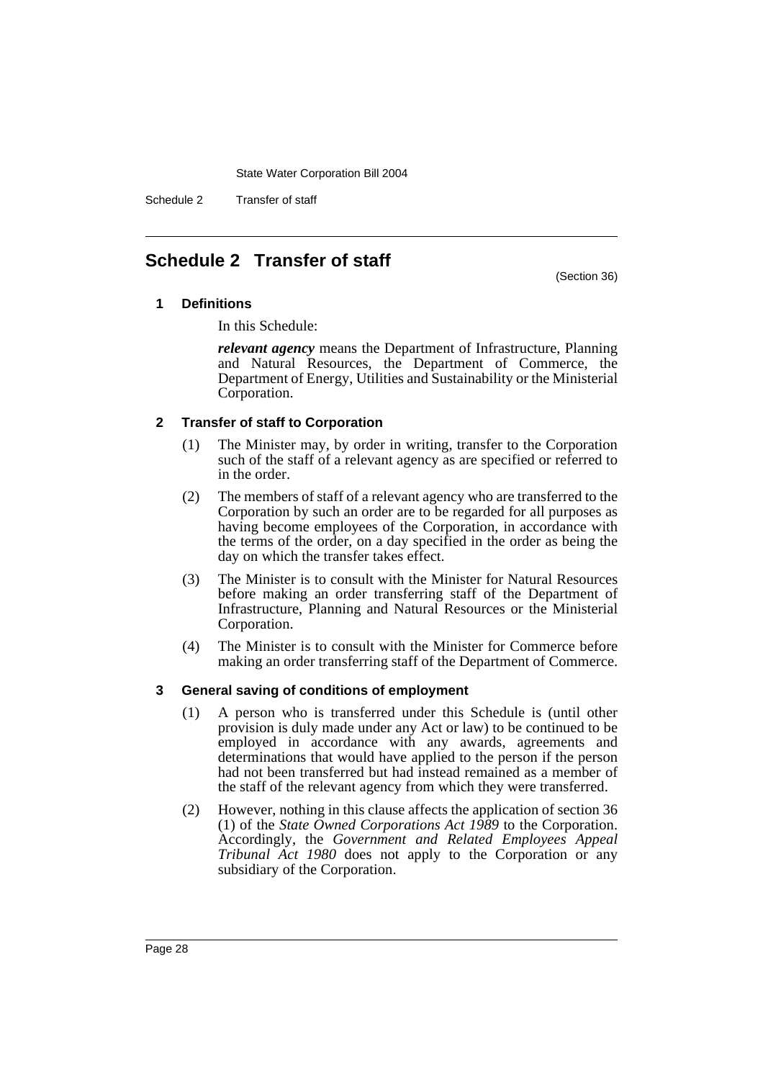Schedule 2 Transfer of staff

# **Schedule 2 Transfer of staff**

(Section 36)

# **1 Definitions**

In this Schedule:

*relevant agency* means the Department of Infrastructure, Planning and Natural Resources, the Department of Commerce, the Department of Energy, Utilities and Sustainability or the Ministerial Corporation.

# **2 Transfer of staff to Corporation**

- (1) The Minister may, by order in writing, transfer to the Corporation such of the staff of a relevant agency as are specified or referred to in the order.
- (2) The members of staff of a relevant agency who are transferred to the Corporation by such an order are to be regarded for all purposes as having become employees of the Corporation, in accordance with the terms of the order, on a day specified in the order as being the day on which the transfer takes effect.
- (3) The Minister is to consult with the Minister for Natural Resources before making an order transferring staff of the Department of Infrastructure, Planning and Natural Resources or the Ministerial Corporation.
- (4) The Minister is to consult with the Minister for Commerce before making an order transferring staff of the Department of Commerce.

# **3 General saving of conditions of employment**

- (1) A person who is transferred under this Schedule is (until other provision is duly made under any Act or law) to be continued to be employed in accordance with any awards, agreements and determinations that would have applied to the person if the person had not been transferred but had instead remained as a member of the staff of the relevant agency from which they were transferred.
- (2) However, nothing in this clause affects the application of section 36 (1) of the *State Owned Corporations Act 1989* to the Corporation. Accordingly, the *Government and Related Employees Appeal Tribunal Act 1980* does not apply to the Corporation or any subsidiary of the Corporation.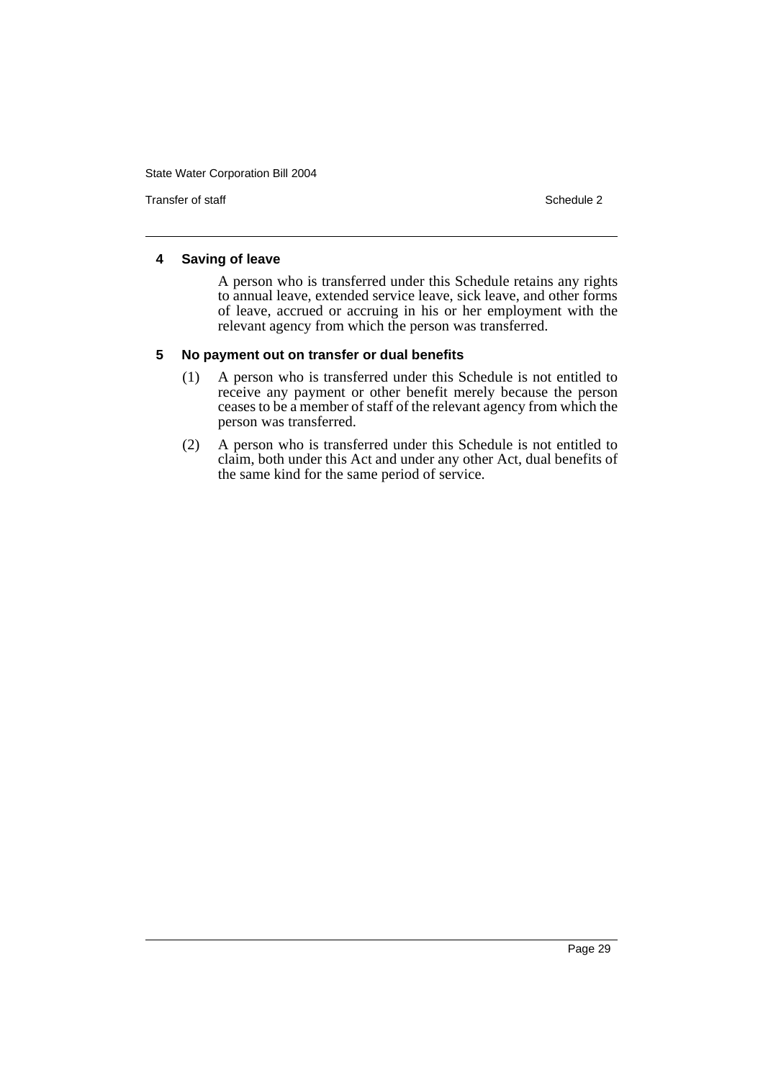Transfer of staff Schedule 2

## **4 Saving of leave**

A person who is transferred under this Schedule retains any rights to annual leave, extended service leave, sick leave, and other forms of leave, accrued or accruing in his or her employment with the relevant agency from which the person was transferred.

# **5 No payment out on transfer or dual benefits**

- (1) A person who is transferred under this Schedule is not entitled to receive any payment or other benefit merely because the person ceases to be a member of staff of the relevant agency from which the person was transferred.
- (2) A person who is transferred under this Schedule is not entitled to claim, both under this Act and under any other Act, dual benefits of the same kind for the same period of service.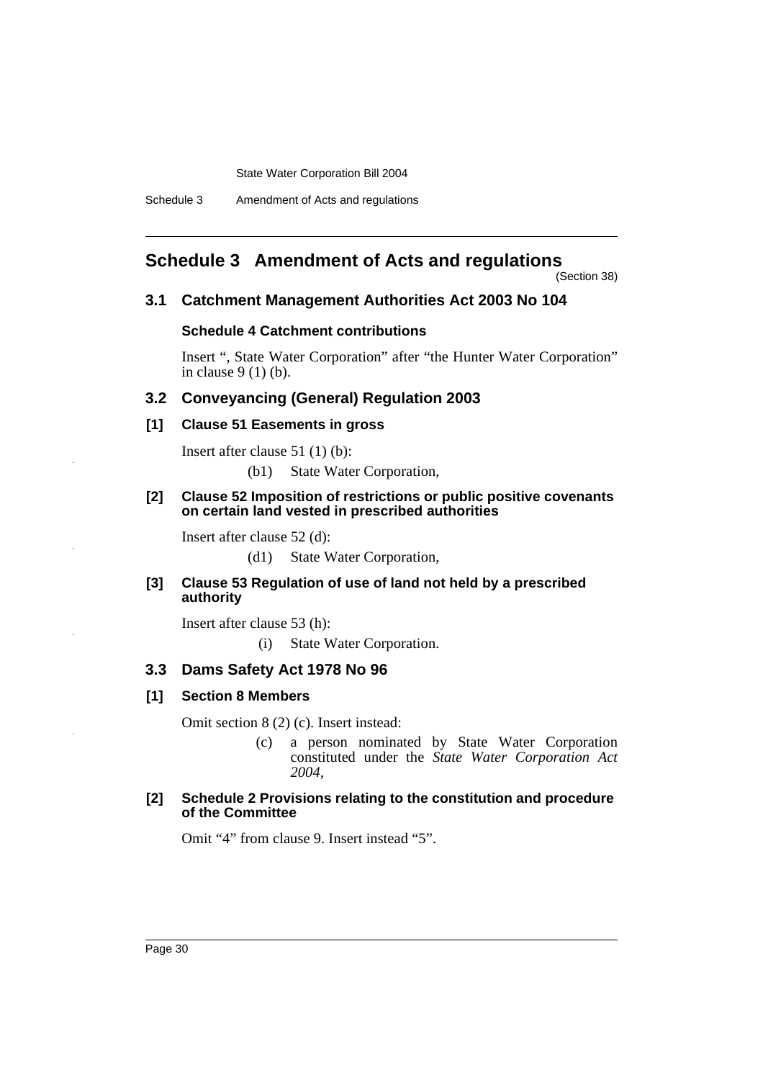Schedule 3 Amendment of Acts and regulations

# **Schedule 3 Amendment of Acts and regulations**

(Section 38)

#### **3.1 Catchment Management Authorities Act 2003 No 104**

# **Schedule 4 Catchment contributions**

Insert ", State Water Corporation" after "the Hunter Water Corporation" in clause 9 (1) (b).

# **3.2 Conveyancing (General) Regulation 2003**

# **[1] Clause 51 Easements in gross**

Insert after clause 51 (1) (b):

(b1) State Water Corporation,

#### **[2] Clause 52 Imposition of restrictions or public positive covenants on certain land vested in prescribed authorities**

Insert after clause 52 (d):

(d1) State Water Corporation,

#### **[3] Clause 53 Regulation of use of land not held by a prescribed authority**

Insert after clause 53 (h):

(i) State Water Corporation.

### **3.3 Dams Safety Act 1978 No 96**

#### **[1] Section 8 Members**

Omit section 8 (2) (c). Insert instead:

(c) a person nominated by State Water Corporation constituted under the *State Water Corporation Act 2004*,

#### **[2] Schedule 2 Provisions relating to the constitution and procedure of the Committee**

Omit "4" from clause 9. Insert instead "5".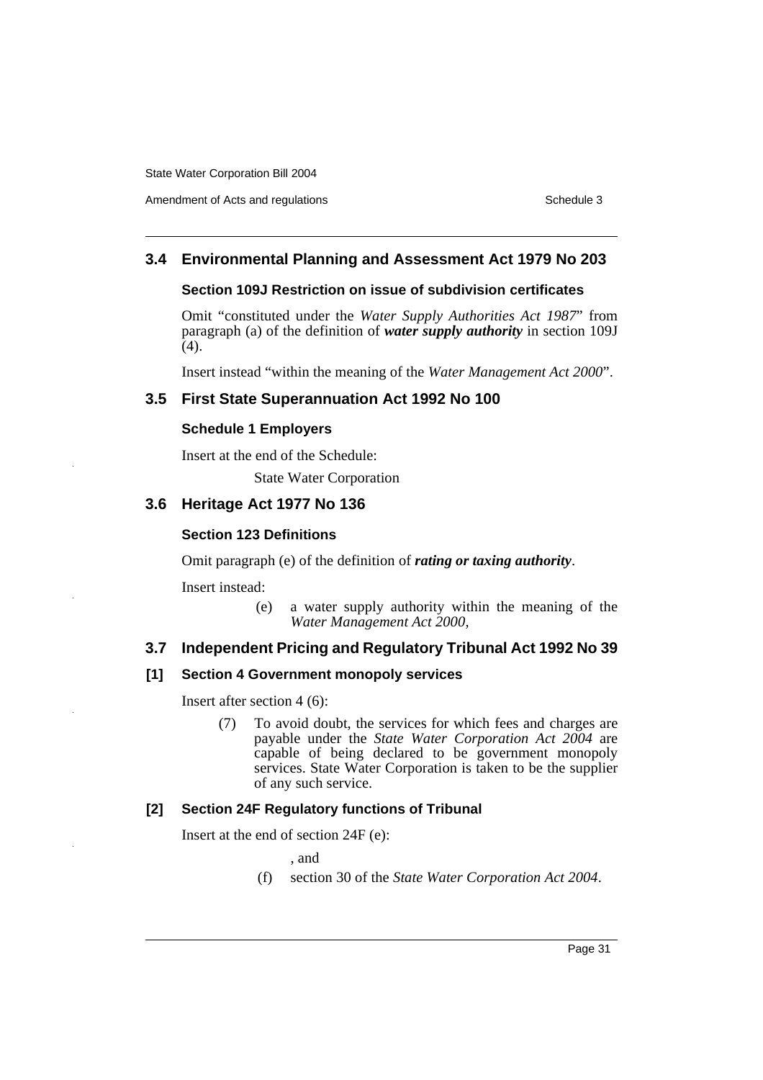Amendment of Acts and regulations Schedule 3

# **3.4 Environmental Planning and Assessment Act 1979 No 203**

# **Section 109J Restriction on issue of subdivision certificates**

Omit "constituted under the *Water Supply Authorities Act 1987*" from paragraph (a) of the definition of *water supply authority* in section 109J (4).

Insert instead "within the meaning of the *Water Management Act 2000*".

# **3.5 First State Superannuation Act 1992 No 100**

# **Schedule 1 Employers**

Insert at the end of the Schedule:

State Water Corporation

# **3.6 Heritage Act 1977 No 136**

# **Section 123 Definitions**

Omit paragraph (e) of the definition of *rating or taxing authority*.

Insert instead:

(e) a water supply authority within the meaning of the *Water Management Act 2000*,

# **3.7 Independent Pricing and Regulatory Tribunal Act 1992 No 39**

# **[1] Section 4 Government monopoly services**

Insert after section 4 (6):

(7) To avoid doubt, the services for which fees and charges are payable under the *State Water Corporation Act 2004* are capable of being declared to be government monopoly services. State Water Corporation is taken to be the supplier of any such service.

# **[2] Section 24F Regulatory functions of Tribunal**

Insert at the end of section 24F (e):

- , and
- (f) section 30 of the *State Water Corporation Act 2004*.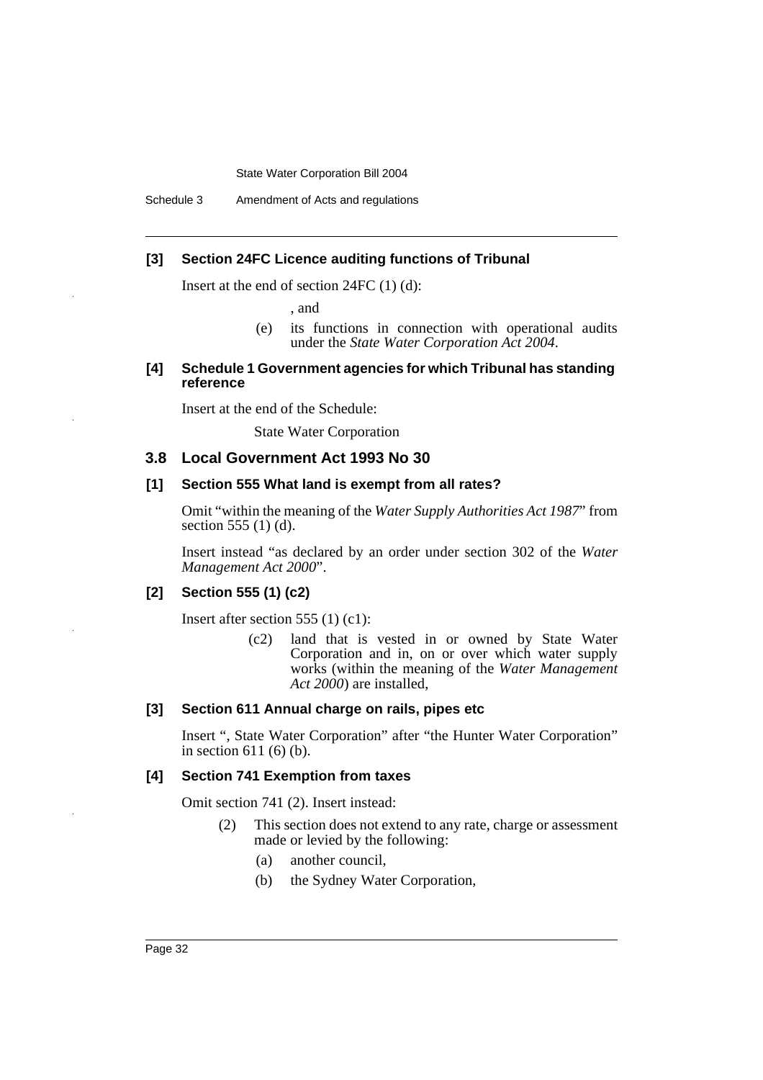Schedule 3 Amendment of Acts and regulations

# **[3] Section 24FC Licence auditing functions of Tribunal**

Insert at the end of section 24FC (1) (d):

, and

(e) its functions in connection with operational audits under the *State Water Corporation Act 2004*.

#### **[4] Schedule 1 Government agencies for which Tribunal has standing reference**

Insert at the end of the Schedule:

State Water Corporation

#### **3.8 Local Government Act 1993 No 30**

#### **[1] Section 555 What land is exempt from all rates?**

Omit "within the meaning of the *Water Supply Authorities Act 1987*" from section 555 (1) (d).

Insert instead "as declared by an order under section 302 of the *Water Management Act 2000*".

# **[2] Section 555 (1) (c2)**

Insert after section 555 (1) (c1):

(c2) land that is vested in or owned by State Water Corporation and in, on or over which water supply works (within the meaning of the *Water Management Act 2000*) are installed,

#### **[3] Section 611 Annual charge on rails, pipes etc**

Insert ", State Water Corporation" after "the Hunter Water Corporation" in section 611 (6) (b).

# **[4] Section 741 Exemption from taxes**

Omit section 741 (2). Insert instead:

- (2) This section does not extend to any rate, charge or assessment made or levied by the following:
	- (a) another council,
	- (b) the Sydney Water Corporation,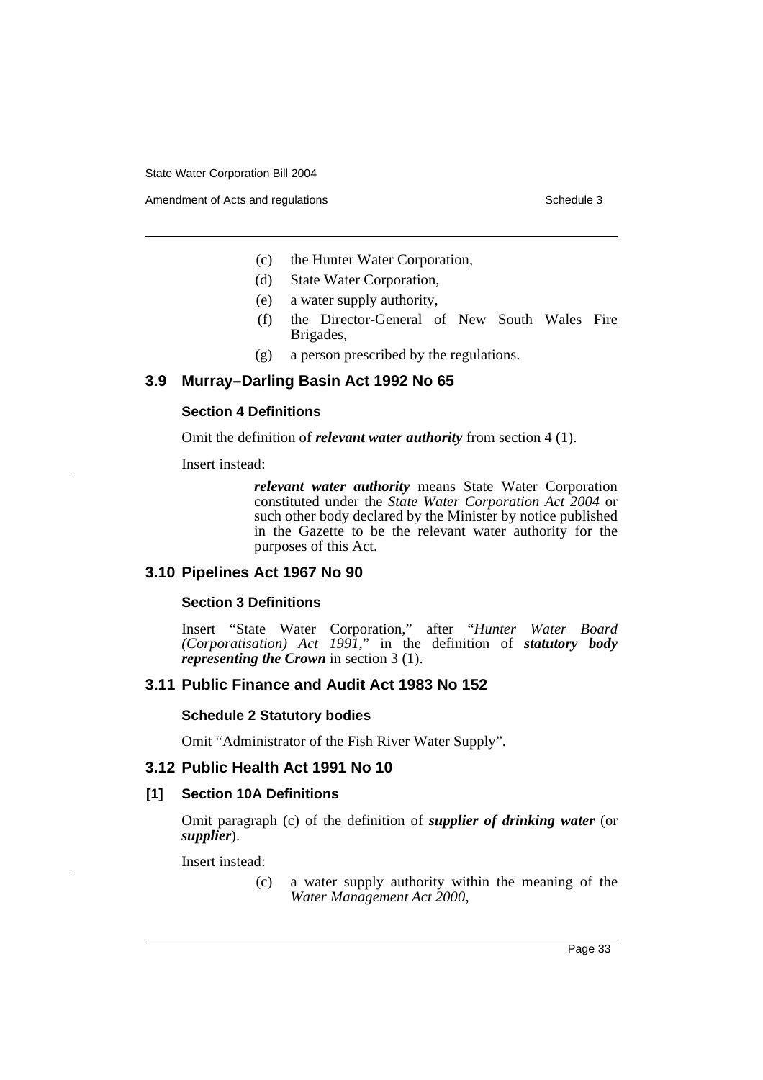Amendment of Acts and regulations Schedule 3

- (c) the Hunter Water Corporation,
- (d) State Water Corporation,
- (e) a water supply authority,
- (f) the Director-General of New South Wales Fire Brigades,
- (g) a person prescribed by the regulations.

# **3.9 Murray–Darling Basin Act 1992 No 65**

## **Section 4 Definitions**

Omit the definition of *relevant water authority* from section 4 (1).

Insert instead:

*relevant water authority* means State Water Corporation constituted under the *State Water Corporation Act 2004* or such other body declared by the Minister by notice published in the Gazette to be the relevant water authority for the purposes of this Act.

# **3.10 Pipelines Act 1967 No 90**

# **Section 3 Definitions**

Insert "State Water Corporation," after "*Hunter Water Board (Corporatisation) Act 1991*," in the definition of *statutory body representing the Crown* in section 3 (1).

# **3.11 Public Finance and Audit Act 1983 No 152**

#### **Schedule 2 Statutory bodies**

Omit "Administrator of the Fish River Water Supply".

# **3.12 Public Health Act 1991 No 10**

# **[1] Section 10A Definitions**

Omit paragraph (c) of the definition of *supplier of drinking water* (or *supplier*).

Insert instead:

(c) a water supply authority within the meaning of the *Water Management Act 2000*,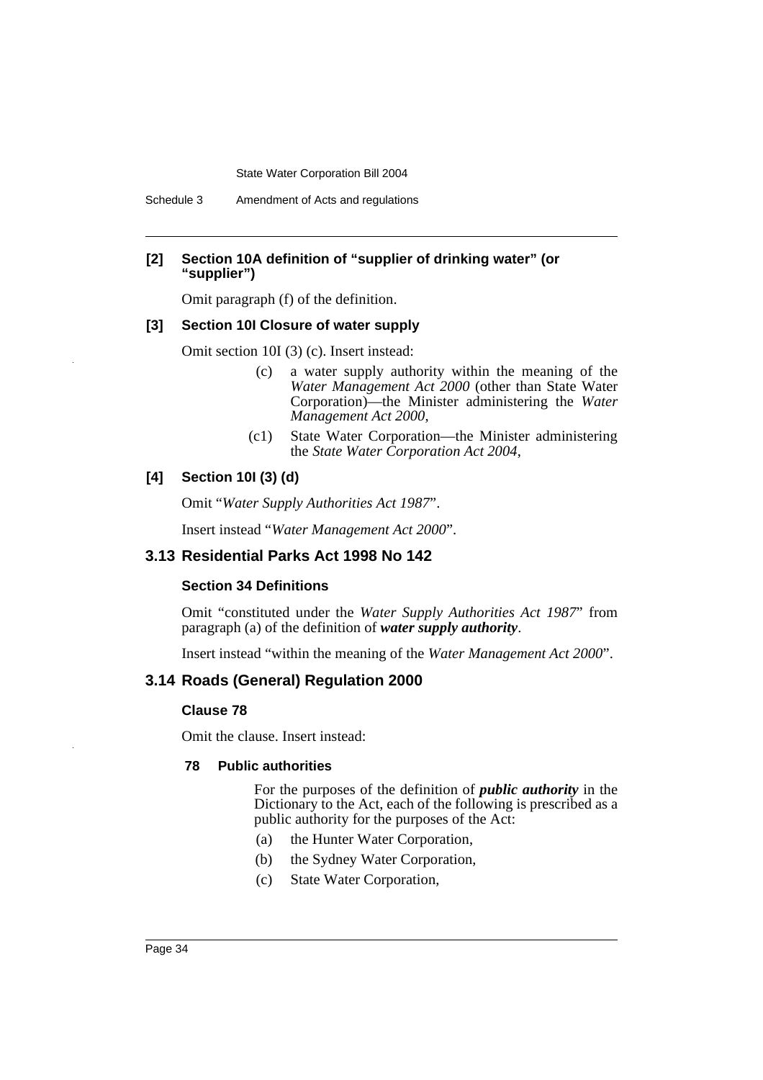# **[2] Section 10A definition of "supplier of drinking water" (or "supplier")**

Omit paragraph (f) of the definition.

## **[3] Section 10I Closure of water supply**

Omit section 10I (3) (c). Insert instead:

- (c) a water supply authority within the meaning of the *Water Management Act 2000* (other than State Water Corporation)—the Minister administering the *Water Management Act 2000*,
- (c1) State Water Corporation—the Minister administering the *State Water Corporation Act 2004*,

## **[4] Section 10I (3) (d)**

Omit "*Water Supply Authorities Act 1987*".

Insert instead "*Water Management Act 2000*".

# **3.13 Residential Parks Act 1998 No 142**

#### **Section 34 Definitions**

Omit "constituted under the *Water Supply Authorities Act 1987*" from paragraph (a) of the definition of *water supply authority*.

Insert instead "within the meaning of the *Water Management Act 2000*".

# **3.14 Roads (General) Regulation 2000**

#### **Clause 78**

Omit the clause. Insert instead:

#### **78 Public authorities**

For the purposes of the definition of *public authority* in the Dictionary to the Act, each of the following is prescribed as a public authority for the purposes of the Act:

- (a) the Hunter Water Corporation,
- (b) the Sydney Water Corporation,
- (c) State Water Corporation,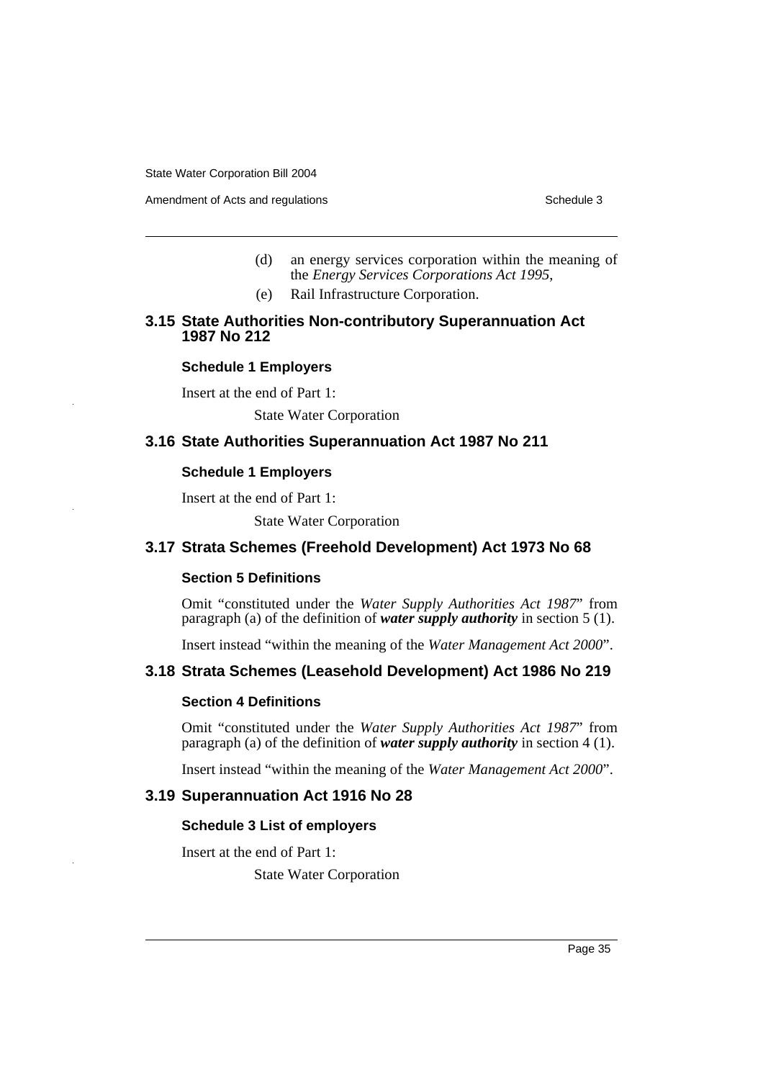Amendment of Acts and regulations Schedule 3

- (d) an energy services corporation within the meaning of the *Energy Services Corporations Act 1995*,
- (e) Rail Infrastructure Corporation.

# **3.15 State Authorities Non-contributory Superannuation Act 1987 No 212**

#### **Schedule 1 Employers**

Insert at the end of Part 1:

State Water Corporation

# **3.16 State Authorities Superannuation Act 1987 No 211**

### **Schedule 1 Employers**

Insert at the end of Part 1:

State Water Corporation

# **3.17 Strata Schemes (Freehold Development) Act 1973 No 68**

# **Section 5 Definitions**

Omit "constituted under the *Water Supply Authorities Act 1987*" from paragraph (a) of the definition of *water supply authority* in section 5 (1).

Insert instead "within the meaning of the *Water Management Act 2000*".

## **3.18 Strata Schemes (Leasehold Development) Act 1986 No 219**

# **Section 4 Definitions**

Omit "constituted under the *Water Supply Authorities Act 1987*" from paragraph (a) of the definition of *water supply authority* in section 4 (1).

Insert instead "within the meaning of the *Water Management Act 2000*".

# **3.19 Superannuation Act 1916 No 28**

#### **Schedule 3 List of employers**

Insert at the end of Part 1:

State Water Corporation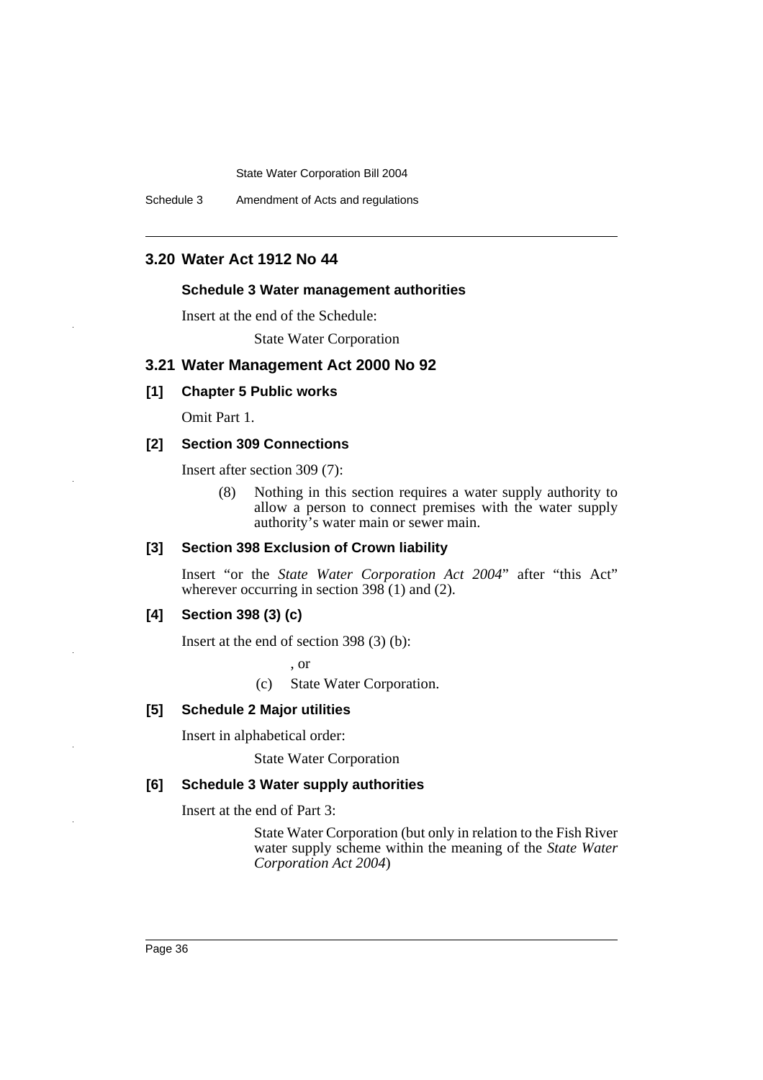Schedule 3 Amendment of Acts and regulations

# **3.20 Water Act 1912 No 44**

#### **Schedule 3 Water management authorities**

Insert at the end of the Schedule:

State Water Corporation

## **3.21 Water Management Act 2000 No 92**

# **[1] Chapter 5 Public works**

Omit Part 1.

# **[2] Section 309 Connections**

Insert after section 309 (7):

(8) Nothing in this section requires a water supply authority to allow a person to connect premises with the water supply authority's water main or sewer main.

# **[3] Section 398 Exclusion of Crown liability**

Insert "or the *State Water Corporation Act 2004*" after "this Act" wherever occurring in section  $398(1)$  and (2).

## **[4] Section 398 (3) (c)**

Insert at the end of section 398 (3) (b):

, or

(c) State Water Corporation.

#### **[5] Schedule 2 Major utilities**

Insert in alphabetical order:

State Water Corporation

# **[6] Schedule 3 Water supply authorities**

Insert at the end of Part 3:

State Water Corporation (but only in relation to the Fish River water supply scheme within the meaning of the *State Water Corporation Act 2004*)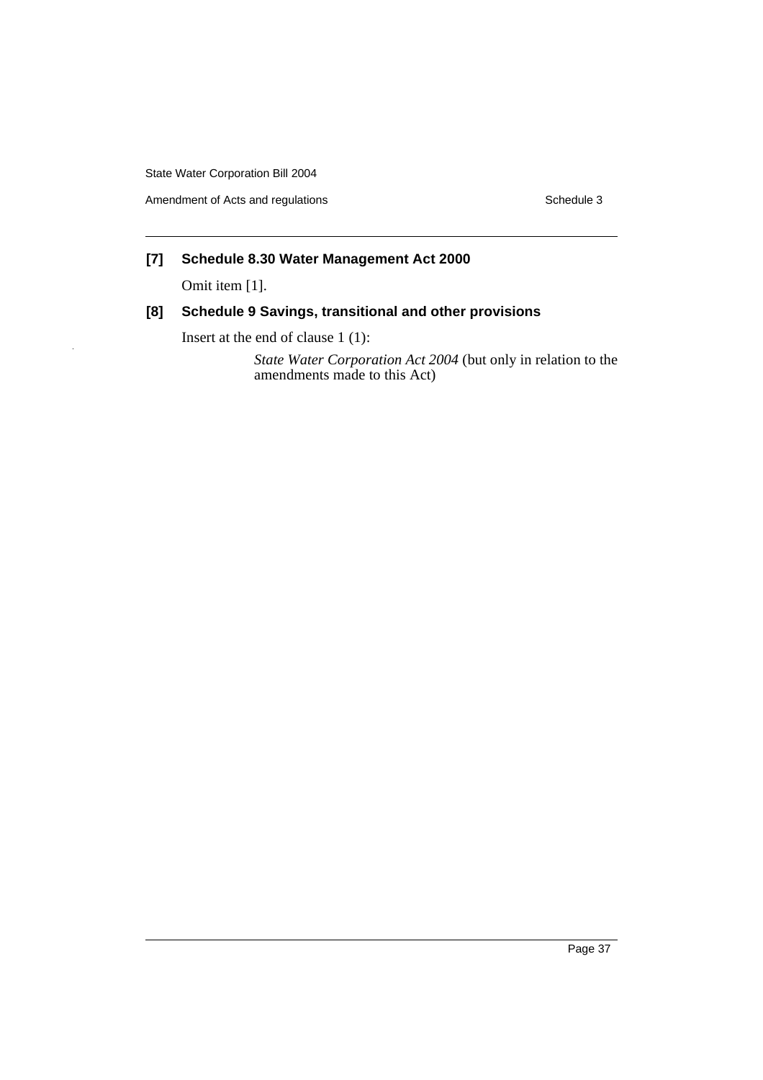Amendment of Acts and regulations **Schedule 3** Schedule 3

# **[7] Schedule 8.30 Water Management Act 2000**

Omit item [1].

# **[8] Schedule 9 Savings, transitional and other provisions**

Insert at the end of clause 1 (1):

*State Water Corporation Act 2004* (but only in relation to the amendments made to this Act)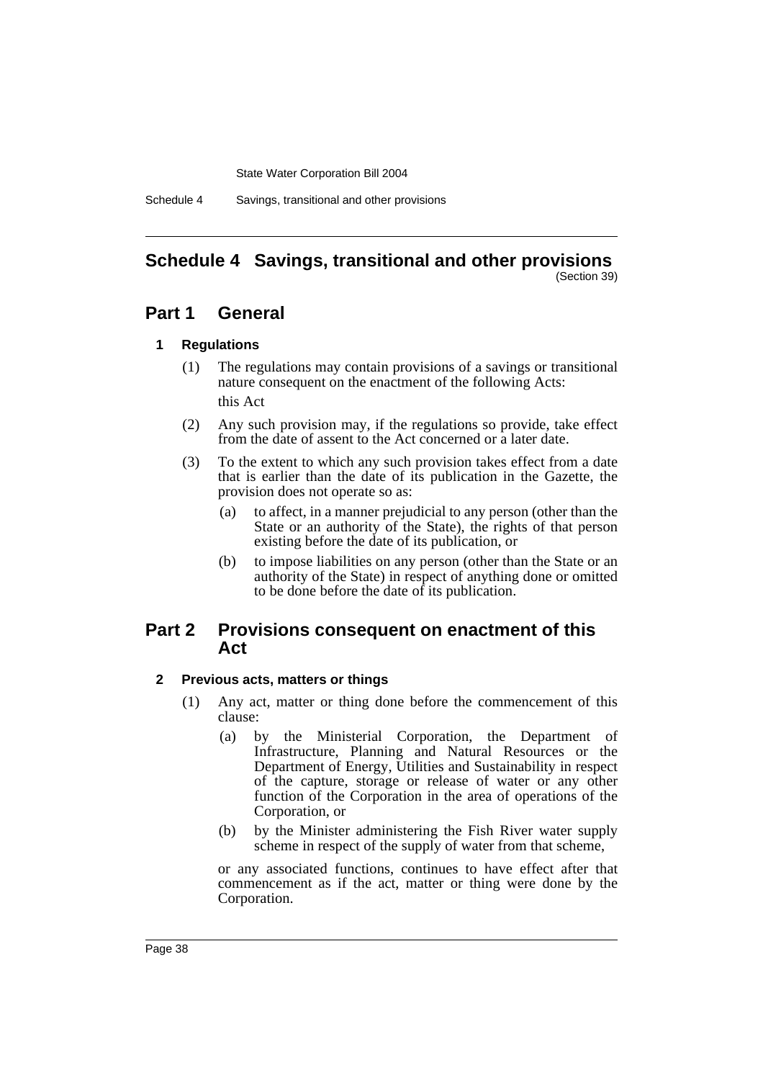Schedule 4 Savings, transitional and other provisions

#### **Schedule 4 Savings, transitional and other provisions** (Section 39)

# **Part 1 General**

# **1 Regulations**

- (1) The regulations may contain provisions of a savings or transitional nature consequent on the enactment of the following Acts: this Act
- (2) Any such provision may, if the regulations so provide, take effect from the date of assent to the Act concerned or a later date.
- (3) To the extent to which any such provision takes effect from a date that is earlier than the date of its publication in the Gazette, the provision does not operate so as:
	- (a) to affect, in a manner prejudicial to any person (other than the State or an authority of the State), the rights of that person existing before the date of its publication, or
	- (b) to impose liabilities on any person (other than the State or an authority of the State) in respect of anything done or omitted to be done before the date of its publication.

# **Part 2 Provisions consequent on enactment of this Act**

# **2 Previous acts, matters or things**

- (1) Any act, matter or thing done before the commencement of this clause:
	- (a) by the Ministerial Corporation, the Department of Infrastructure, Planning and Natural Resources or the Department of Energy, Utilities and Sustainability in respect of the capture, storage or release of water or any other function of the Corporation in the area of operations of the Corporation, or
	- (b) by the Minister administering the Fish River water supply scheme in respect of the supply of water from that scheme,

or any associated functions, continues to have effect after that commencement as if the act, matter or thing were done by the Corporation.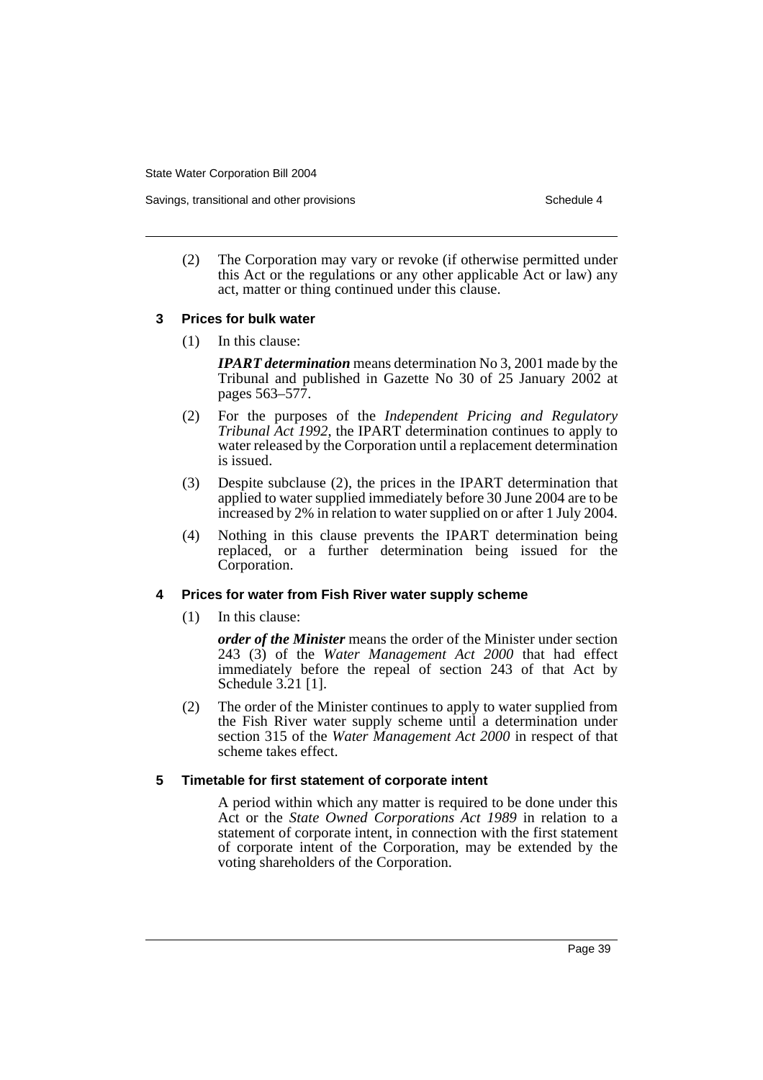Savings, transitional and other provisions Schedule 4 and the schedule 4 series Schedule 4

(2) The Corporation may vary or revoke (if otherwise permitted under this Act or the regulations or any other applicable Act or law) any act, matter or thing continued under this clause.

#### **3 Prices for bulk water**

(1) In this clause:

*IPART determination* means determination No 3, 2001 made by the Tribunal and published in Gazette No 30 of 25 January 2002 at pages 563–577.

- (2) For the purposes of the *Independent Pricing and Regulatory Tribunal Act 1992*, the IPART determination continues to apply to water released by the Corporation until a replacement determination is issued.
- (3) Despite subclause (2), the prices in the IPART determination that applied to water supplied immediately before 30 June 2004 are to be increased by 2% in relation to water supplied on or after 1 July 2004.
- (4) Nothing in this clause prevents the IPART determination being replaced, or a further determination being issued for the Corporation.

# **4 Prices for water from Fish River water supply scheme**

(1) In this clause:

*order of the Minister* means the order of the Minister under section 243 (3) of the *Water Management Act 2000* that had effect immediately before the repeal of section 243 of that Act by Schedule 3.21 [1].

(2) The order of the Minister continues to apply to water supplied from the Fish River water supply scheme until a determination under section 315 of the *Water Management Act 2000* in respect of that scheme takes effect.

# **5 Timetable for first statement of corporate intent**

A period within which any matter is required to be done under this Act or the *State Owned Corporations Act 1989* in relation to a statement of corporate intent, in connection with the first statement of corporate intent of the Corporation, may be extended by the voting shareholders of the Corporation.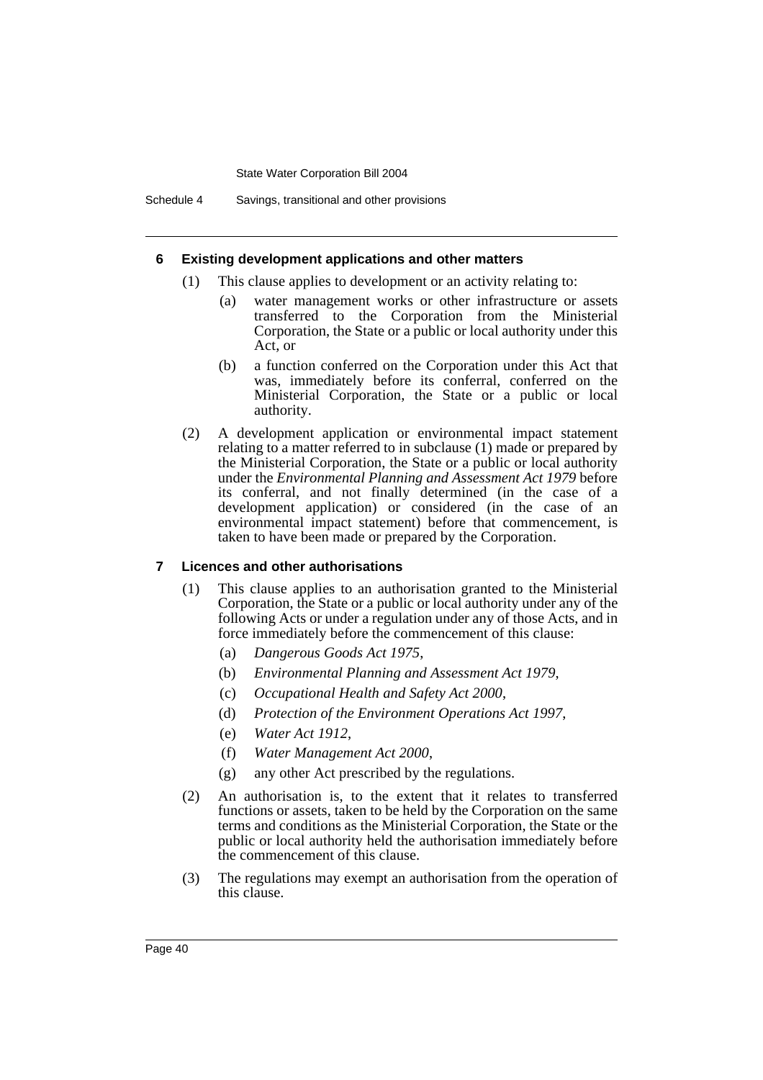Schedule 4 Savings, transitional and other provisions

#### **6 Existing development applications and other matters**

- (1) This clause applies to development or an activity relating to:
	- (a) water management works or other infrastructure or assets transferred to the Corporation from the Ministerial Corporation, the State or a public or local authority under this Act, or
	- (b) a function conferred on the Corporation under this Act that was, immediately before its conferral, conferred on the Ministerial Corporation, the State or a public or local authority.
- (2) A development application or environmental impact statement relating to a matter referred to in subclause (1) made or prepared by the Ministerial Corporation, the State or a public or local authority under the *Environmental Planning and Assessment Act 1979* before its conferral, and not finally determined (in the case of a development application) or considered (in the case of an environmental impact statement) before that commencement, is taken to have been made or prepared by the Corporation.

#### **7 Licences and other authorisations**

- (1) This clause applies to an authorisation granted to the Ministerial Corporation, the State or a public or local authority under any of the following Acts or under a regulation under any of those Acts, and in force immediately before the commencement of this clause:
	- (a) *Dangerous Goods Act 1975*,
	- (b) *Environmental Planning and Assessment Act 1979*,
	- (c) *Occupational Health and Safety Act 2000*,
	- (d) *Protection of the Environment Operations Act 1997*,
	- (e) *Water Act 1912*,
	- (f) *Water Management Act 2000*,
	- (g) any other Act prescribed by the regulations.
- (2) An authorisation is, to the extent that it relates to transferred functions or assets, taken to be held by the Corporation on the same terms and conditions as the Ministerial Corporation, the State or the public or local authority held the authorisation immediately before the commencement of this clause.
- (3) The regulations may exempt an authorisation from the operation of this clause.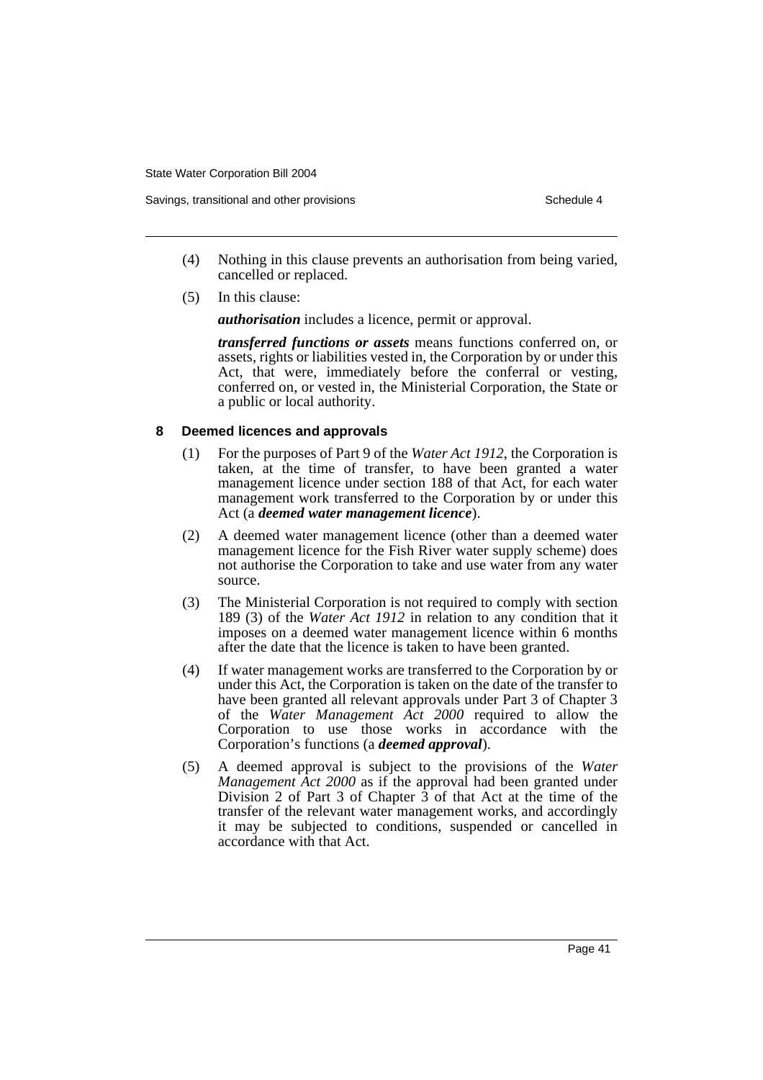Savings, transitional and other provisions Schedule 4 and the schedule 4 series Schedule 4

- (4) Nothing in this clause prevents an authorisation from being varied, cancelled or replaced.
- (5) In this clause:

*authorisation* includes a licence, permit or approval.

*transferred functions or assets* means functions conferred on, or assets, rights or liabilities vested in, the Corporation by or under this Act, that were, immediately before the conferral or vesting, conferred on, or vested in, the Ministerial Corporation, the State or a public or local authority.

#### **8 Deemed licences and approvals**

- (1) For the purposes of Part 9 of the *Water Act 1912*, the Corporation is taken, at the time of transfer, to have been granted a water management licence under section 188 of that Act, for each water management work transferred to the Corporation by or under this Act (a *deemed water management licence*).
- (2) A deemed water management licence (other than a deemed water management licence for the Fish River water supply scheme) does not authorise the Corporation to take and use water from any water source.
- (3) The Ministerial Corporation is not required to comply with section 189 (3) of the *Water Act 1912* in relation to any condition that it imposes on a deemed water management licence within 6 months after the date that the licence is taken to have been granted.
- (4) If water management works are transferred to the Corporation by or under this Act, the Corporation is taken on the date of the transfer to have been granted all relevant approvals under Part 3 of Chapter 3 of the *Water Management Act 2000* required to allow the Corporation to use those works in accordance with the Corporation's functions (a *deemed approval*).
- (5) A deemed approval is subject to the provisions of the *Water Management Act 2000* as if the approval had been granted under Division 2 of Part 3 of Chapter  $3$  of that Act at the time of the transfer of the relevant water management works, and accordingly it may be subjected to conditions, suspended or cancelled in accordance with that Act.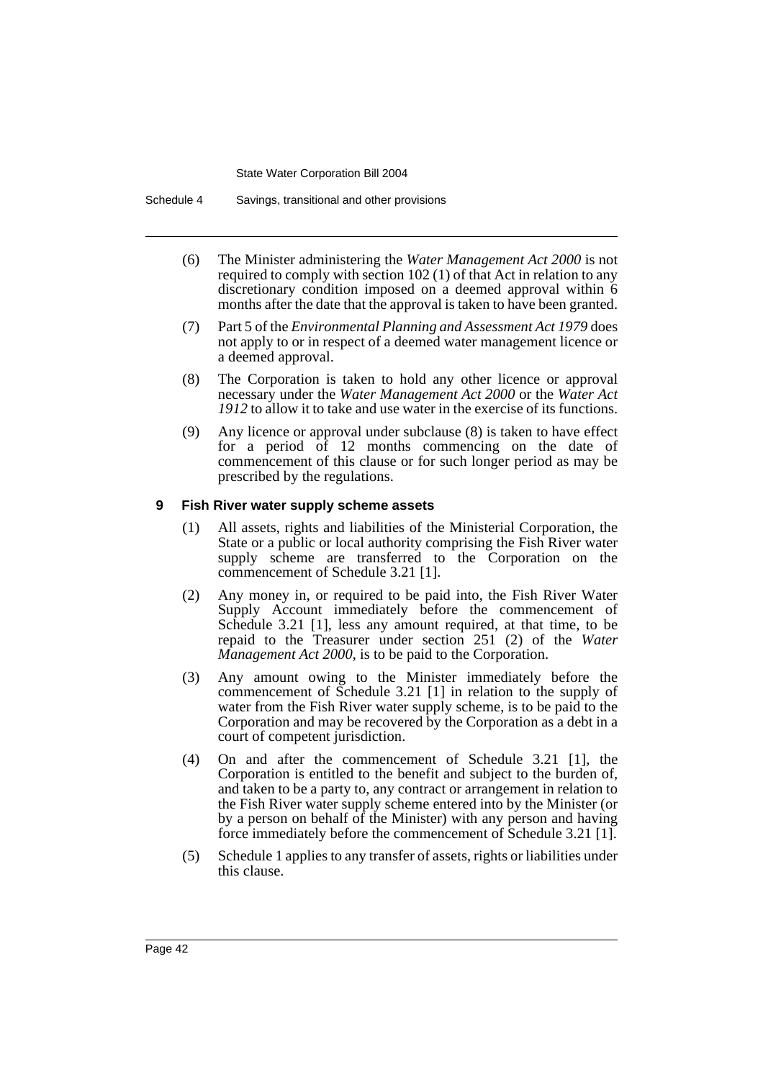Schedule 4 Savings, transitional and other provisions

- (6) The Minister administering the *Water Management Act 2000* is not required to comply with section 102 (1) of that Act in relation to any discretionary condition imposed on a deemed approval within 6 months after the date that the approval is taken to have been granted.
- (7) Part 5 of the *Environmental Planning and Assessment Act 1979* does not apply to or in respect of a deemed water management licence or a deemed approval.
- (8) The Corporation is taken to hold any other licence or approval necessary under the *Water Management Act 2000* or the *Water Act 1912* to allow it to take and use water in the exercise of its functions.
- (9) Any licence or approval under subclause (8) is taken to have effect for a period of 12 months commencing on the date of commencement of this clause or for such longer period as may be prescribed by the regulations.

#### **9 Fish River water supply scheme assets**

- (1) All assets, rights and liabilities of the Ministerial Corporation, the State or a public or local authority comprising the Fish River water supply scheme are transferred to the Corporation on the commencement of Schedule 3.21 [1].
- (2) Any money in, or required to be paid into, the Fish River Water Supply Account immediately before the commencement of Schedule 3.21 [1], less any amount required, at that time, to be repaid to the Treasurer under section 251 (2) of the *Water Management Act 2000*, is to be paid to the Corporation.
- (3) Any amount owing to the Minister immediately before the commencement of Schedule 3.21 [1] in relation to the supply of water from the Fish River water supply scheme, is to be paid to the Corporation and may be recovered by the Corporation as a debt in a court of competent jurisdiction.
- (4) On and after the commencement of Schedule 3.21 [1], the Corporation is entitled to the benefit and subject to the burden of, and taken to be a party to, any contract or arrangement in relation to the Fish River water supply scheme entered into by the Minister (or by a person on behalf of the Minister) with any person and having force immediately before the commencement of Schedule 3.21 [1].
- (5) Schedule 1 applies to any transfer of assets, rights or liabilities under this clause.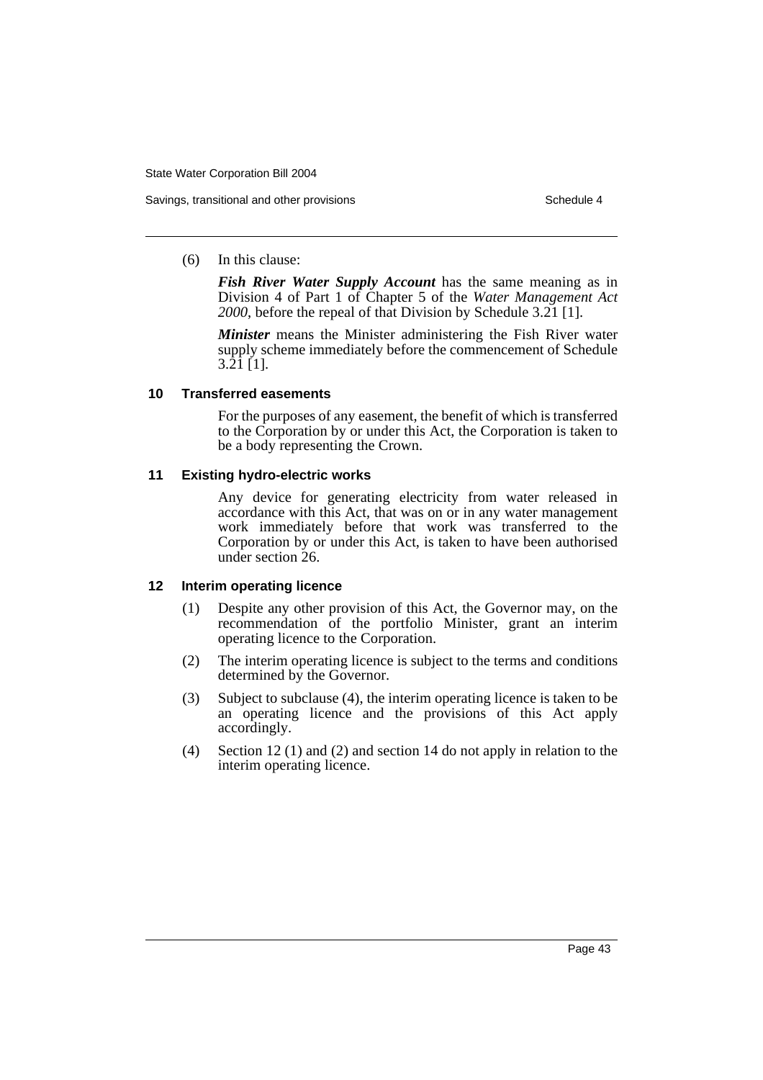#### (6) In this clause:

*Fish River Water Supply Account* has the same meaning as in Division 4 of Part 1 of Chapter 5 of the *Water Management Act 2000*, before the repeal of that Division by Schedule 3.21 [1].

*Minister* means the Minister administering the Fish River water supply scheme immediately before the commencement of Schedule 3.21 [1].

#### **10 Transferred easements**

For the purposes of any easement, the benefit of which is transferred to the Corporation by or under this Act, the Corporation is taken to be a body representing the Crown.

## **11 Existing hydro-electric works**

Any device for generating electricity from water released in accordance with this Act, that was on or in any water management work immediately before that work was transferred to the Corporation by or under this Act, is taken to have been authorised under section 26.

#### **12 Interim operating licence**

- (1) Despite any other provision of this Act, the Governor may, on the recommendation of the portfolio Minister, grant an interim operating licence to the Corporation.
- (2) The interim operating licence is subject to the terms and conditions determined by the Governor.
- (3) Subject to subclause (4), the interim operating licence is taken to be an operating licence and the provisions of this Act apply accordingly.
- (4) Section 12 (1) and (2) and section 14 do not apply in relation to the interim operating licence.